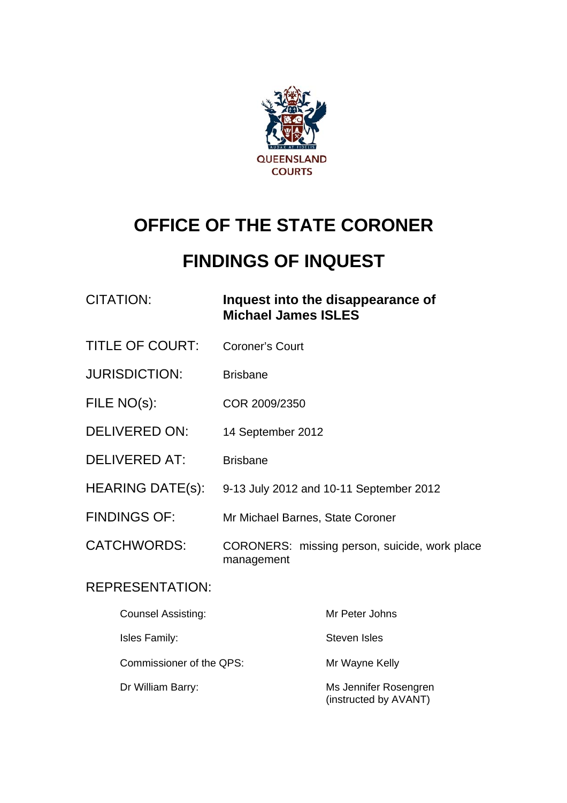

# **OFFICE OF THE STATE CORONER**

# **FINDINGS OF INQUEST**

# CITATION: **Inquest into the disappearance of Michael James ISLES**

- TITLE OF COURT: Coroner's Court
- JURISDICTION: Brisbane
- FILE NO(s): COR 2009/2350
- DELIVERED ON: 14 September 2012
- DELIVERED AT: Brisbane
- HEARING DATE(s): 9-13 July 2012 and 10-11 September 2012
- FINDINGS OF: Mr Michael Barnes, State Coroner
- CATCHWORDS: CORONERS: missing person, suicide, work place management

## REPRESENTATION:

| <b>Counsel Assisting:</b> | Mr Peter Johns                                 |
|---------------------------|------------------------------------------------|
| Isles Family:             | Steven Isles                                   |
| Commissioner of the QPS:  | Mr Wayne Kelly                                 |
| Dr William Barry:         | Ms Jennifer Rosengren<br>(instructed by AVANT) |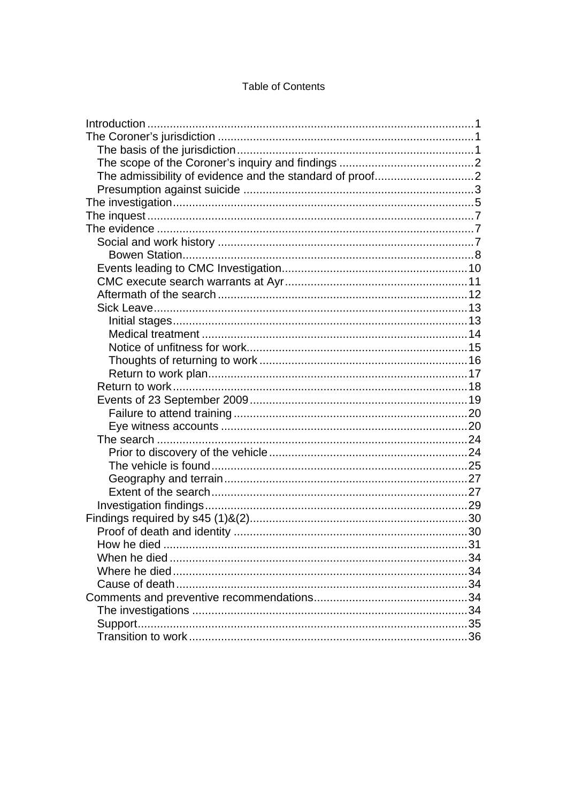#### **Table of Contents**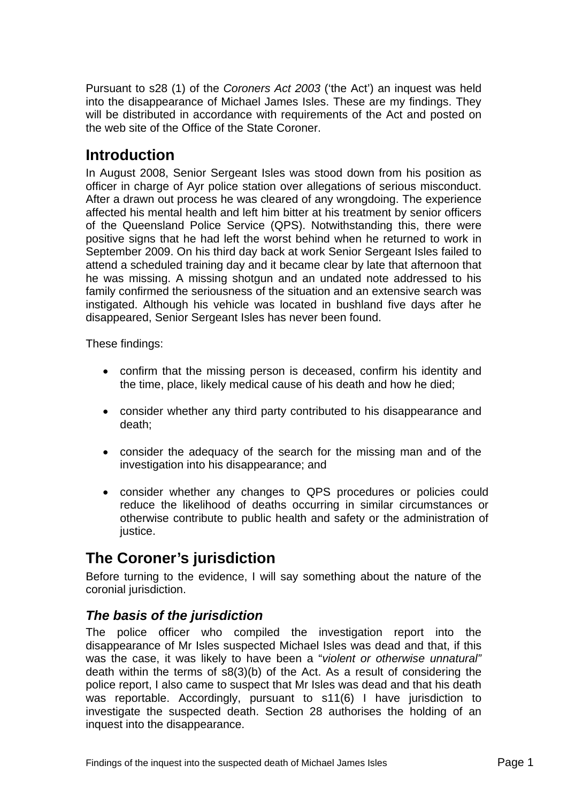<span id="page-2-0"></span>Pursuant to s28 (1) of the *Coroners Act 2003* ('the Act') an inquest was held into the disappearance of Michael James Isles. These are my findings. They will be distributed in accordance with requirements of the Act and posted on the web site of the Office of the State Coroner.

# **Introduction**

In August 2008, Senior Sergeant Isles was stood down from his position as officer in charge of Ayr police station over allegations of serious misconduct. After a drawn out process he was cleared of any wrongdoing. The experience affected his mental health and left him bitter at his treatment by senior officers of the Queensland Police Service (QPS). Notwithstanding this, there were positive signs that he had left the worst behind when he returned to work in September 2009. On his third day back at work Senior Sergeant Isles failed to attend a scheduled training day and it became clear by late that afternoon that he was missing. A missing shotgun and an undated note addressed to his family confirmed the seriousness of the situation and an extensive search was instigated. Although his vehicle was located in bushland five days after he disappeared, Senior Sergeant Isles has never been found.

These findings:

- confirm that the missing person is deceased, confirm his identity and the time, place, likely medical cause of his death and how he died;
- consider whether any third party contributed to his disappearance and death;
- consider the adequacy of the search for the missing man and of the investigation into his disappearance; and
- consider whether any changes to QPS procedures or policies could reduce the likelihood of deaths occurring in similar circumstances or otherwise contribute to public health and safety or the administration of justice.

# **The Coroner's jurisdiction**

Before turning to the evidence, I will say something about the nature of the coronial jurisdiction.

# *The basis of the jurisdiction*

The police officer who compiled the investigation report into the disappearance of Mr Isles suspected Michael Isles was dead and that, if this was the case, it was likely to have been a "*violent or otherwise unnatural"*  death within the terms of s8(3)(b) of the Act. As a result of considering the police report, I also came to suspect that Mr Isles was dead and that his death was reportable. Accordingly, pursuant to s11(6) I have jurisdiction to investigate the suspected death. Section 28 authorises the holding of an inquest into the disappearance.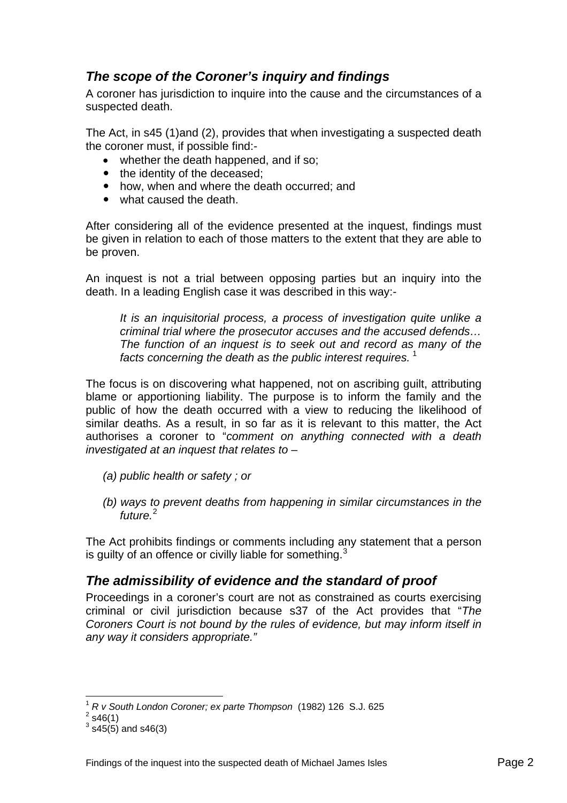# <span id="page-3-0"></span>*The scope of the Coroner's inquiry and findings*

A coroner has jurisdiction to inquire into the cause and the circumstances of a suspected death.

The Act, in s45 (1)and (2), provides that when investigating a suspected death the coroner must, if possible find:-

- whether the death happened, and if so:
- the identity of the deceased:
- how, when and where the death occurred; and
- $\bullet$  what caused the death.

After considering all of the evidence presented at the inquest, findings must be given in relation to each of those matters to the extent that they are able to be proven.

An inquest is not a trial between opposing parties but an inquiry into the death. In a leading English case it was described in this way:-

*It is an inquisitorial process, a process of investigation quite unlike a criminal trial where the prosecutor accuses and the accused defends… The function of an inquest is to seek out and record as many of the*  facts concerning the death as the public interest requires.<sup>[1](#page-3-1)</sup>

The focus is on discovering what happened, not on ascribing guilt, attributing blame or apportioning liability. The purpose is to inform the family and the public of how the death occurred with a view to reducing the likelihood of similar deaths. As a result, in so far as it is relevant to this matter, the Act authorises a coroner to "*comment on anything connected with a death investigated at an inquest that relates to* –

- *(a) public health or safety ; or*
- *(b) ways to prevent deaths from happening in similar circumstances in the future.*[2](#page-3-2)

The Act prohibits findings or comments including any statement that a person is guilty of an offence or civilly liable for something. $3$ 

# *The admissibility of evidence and the standard of proof*

Proceedings in a coroner's court are not as constrained as courts exercising criminal or civil jurisdiction because s37 of the Act provides that "*The Coroners Court is not bound by the rules of evidence, but may inform itself in any way it considers appropriate."*

 $\overline{a}$ 

<sup>1</sup> *R v South London Coroner; ex parte Thompson* (1982) 126 S.J. 625 2

<span id="page-3-3"></span><span id="page-3-2"></span><span id="page-3-1"></span> $2$  s46(1)

 $3$  s45(5) and s46(3)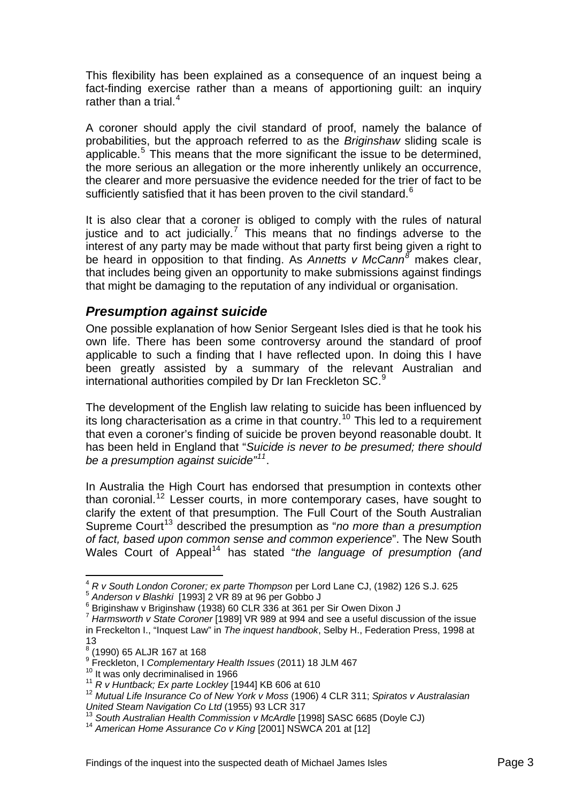<span id="page-4-0"></span>This flexibility has been explained as a consequence of an inquest being a fact-finding exercise rather than a means of apportioning guilt: an inquiry rather than a trial. $4$ 

A coroner should apply the civil standard of proof, namely the balance of probabilities, but the approach referred to as the *Briginshaw* sliding scale is applicable.<sup>[5](#page-4-2)</sup> This means that the more significant the issue to be determined, the more serious an allegation or the more inherently unlikely an occurrence, the clearer and more persuasive the evidence needed for the trier of fact to be sufficiently satisfied that it has been proven to the civil standard. $6$ 

It is also clear that a coroner is obliged to comply with the rules of natural justice and to act judicially.<sup>[7](#page-4-4)</sup> This means that no findings adverse to the interest of any party may be made without that party first being given a right to be heard in opposition to that finding. As *Annetts v McCann[8](#page-4-5)* makes clear, that includes being given an opportunity to make submissions against findings that might be damaging to the reputation of any individual or organisation.

## *Presumption against suicide*

One possible explanation of how Senior Sergeant Isles died is that he took his own life. There has been some controversy around the standard of proof applicable to such a finding that I have reflected upon. In doing this I have been greatly assisted by a summary of the relevant Australian and international authorities compiled by Dr Ian Freckleton SC.<sup>[9](#page-4-6)</sup>

The development of the English law relating to suicide has been influenced by its long characterisation as a crime in that country.<sup>[10](#page-4-7)</sup> This led to a requirement that even a coroner's finding of suicide be proven beyond reasonable doubt. It has been held in England that "*Suicide is never to be presumed; there should be a presumption against suicide"[11](#page-4-8)*.

In Australia the High Court has endorsed that presumption in contexts other than coronial.<sup>[12](#page-4-9)</sup> Lesser courts, in more contemporary cases, have sought to clarify the extent of that presumption. The Full Court of the South Australian Supreme Court<sup>[13](#page-4-10)</sup> described the presumption as "*no more than a presumption of fact, based upon common sense and common experience*". The New South Wales Court of Appeal<sup>[14](#page-4-11)</sup> has stated "the language of presumption (and

<span id="page-4-1"></span> $\overline{a}$ <sup>4</sup> *R v South London Coroner; ex parte Thompson* per Lord Lane CJ, (1982) 126 S.J. 625 <sup>5</sup> *Anderson v Blashki* [1993] 2 VR 89 at 96 per Gobbo J

<span id="page-4-3"></span><span id="page-4-2"></span><sup>&</sup>lt;sup>6</sup> Briginshaw v Briginshaw (1938) 60 CLR 336 at 361 per Sir Owen Dixon J

<span id="page-4-4"></span><sup>7</sup> *Harmsworth v State Coroner* [1989] VR 989 at 994 and see a useful discussion of the issue in Freckelton I., "Inquest Law" in *The inquest handbook*, Selby H., Federation Press, 1998 at 13

<span id="page-4-5"></span><sup>8</sup> (1990) 65 ALJR 167 at 168

<span id="page-4-6"></span><sup>&</sup>lt;sup>9</sup> Freckleton, I *Complementary Health Issues* (2011) 18 JLM 467<br><sup>10</sup> It was only decriminalised in 1966<br><sup>11</sup> *R v Huntback; Ex parte Lockley* [1944] KB 606 at 610

<span id="page-4-9"></span><span id="page-4-8"></span><span id="page-4-7"></span><sup>&</sup>lt;sup>11</sup> R v Huntback; Ex parte Lockley [1944] KB 606 at 610<br><sup>12</sup> Mutual Life Insurance Co of New York v Moss (1906) 4 CLR 311; Spiratos v Australasian<br>United Steam Navigation Co Ltd (1955) 93 LCR 317

<span id="page-4-10"></span><sup>&</sup>lt;sup>13</sup> South Australian Health Commission v McArdle [1998] SASC 6685 (Doyle CJ) <sup>14</sup> *American Home Assurance Co v King* [2001] NSWCA 201 at [12]

<span id="page-4-11"></span>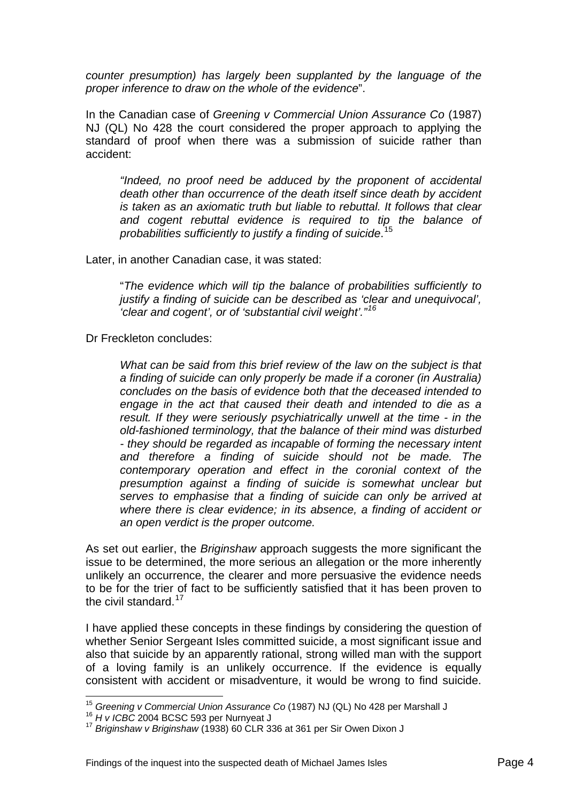*counter presumption) has largely been supplanted by the language of the proper inference to draw on the whole of the evidence*".

In the Canadian case of *Greening v Commercial Union Assurance Co* (1987) NJ (QL) No 428 the court considered the proper approach to applying the standard of proof when there was a submission of suicide rather than accident:

*"Indeed, no proof need be adduced by the proponent of accidental death other than occurrence of the death itself since death by accident is taken as an axiomatic truth but liable to rebuttal. It follows that clear and cogent rebuttal evidence is required to tip the balance of probabilities sufficiently to justify a finding of suicide*. [15](#page-5-0)

Later, in another Canadian case, it was stated:

"*The evidence which will tip the balance of probabilities sufficiently to justify a finding of suicide can be described as 'clear and unequivocal', 'clear and cogent', or of 'substantial civil weight'."[16](#page-5-1)*

Dr Freckleton concludes:

*What can be said from this brief review of the law on the subject is that a finding of suicide can only properly be made if a coroner (in Australia) concludes on the basis of evidence both that the deceased intended to engage in the act that caused their death and intended to die as a result. If they were seriously psychiatrically unwell at the time - in the old-fashioned terminology, that the balance of their mind was disturbed - they should be regarded as incapable of forming the necessary intent and therefore a finding of suicide should not be made. The contemporary operation and effect in the coronial context of the presumption against a finding of suicide is somewhat unclear but serves to emphasise that a finding of suicide can only be arrived at where there is clear evidence; in its absence, a finding of accident or an open verdict is the proper outcome.* 

As set out earlier, the *Briginshaw* approach suggests the more significant the issue to be determined, the more serious an allegation or the more inherently unlikely an occurrence, the clearer and more persuasive the evidence needs to be for the trier of fact to be sufficiently satisfied that it has been proven to the civil standard.<sup>[17](#page-5-2)</sup>

I have applied these concepts in these findings by considering the question of whether Senior Sergeant Isles committed suicide, a most significant issue and also that suicide by an apparently rational, strong willed man with the support of a loving family is an unlikely occurrence. If the evidence is equally consistent with accident or misadventure, it would be wrong to find suicide.

 $\overline{a}$ 

<span id="page-5-0"></span><sup>&</sup>lt;sup>15</sup> Greening v Commercial Union Assurance Co (1987) NJ (QL) No 428 per Marshall J<br><sup>16</sup> *H v ICBC* 2004 BCSC 593 per Nurnyeat J<br><sup>17</sup> *Briginshaw v Briginshaw* (1938) 60 CLR 336 at 361 per Sir Owen Dixon J

<span id="page-5-1"></span>

<span id="page-5-2"></span>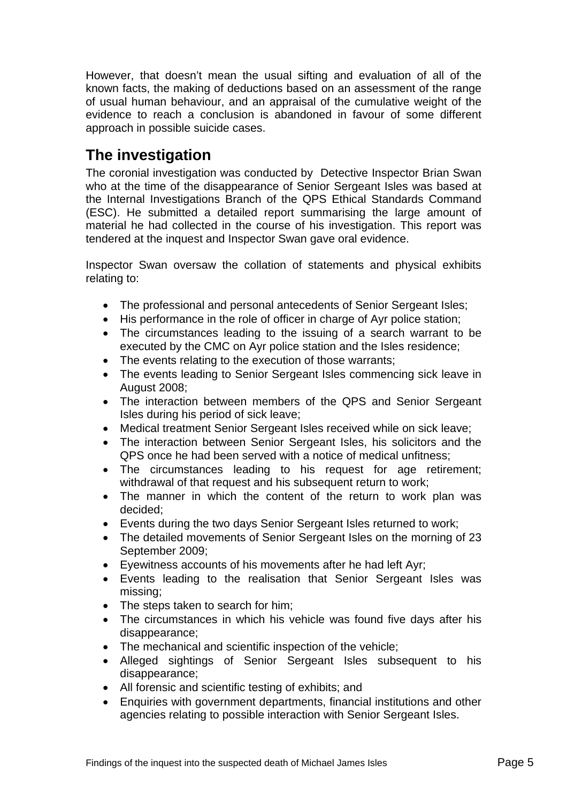<span id="page-6-0"></span>However, that doesn't mean the usual sifting and evaluation of all of the known facts, the making of deductions based on an assessment of the range of usual human behaviour, and an appraisal of the cumulative weight of the evidence to reach a conclusion is abandoned in favour of some different approach in possible suicide cases.

# **The investigation**

The coronial investigation was conducted by Detective Inspector Brian Swan who at the time of the disappearance of Senior Sergeant Isles was based at the Internal Investigations Branch of the QPS Ethical Standards Command (ESC). He submitted a detailed report summarising the large amount of material he had collected in the course of his investigation. This report was tendered at the inquest and Inspector Swan gave oral evidence.

Inspector Swan oversaw the collation of statements and physical exhibits relating to:

- The professional and personal antecedents of Senior Sergeant Isles;
- His performance in the role of officer in charge of Ayr police station;
- The circumstances leading to the issuing of a search warrant to be executed by the CMC on Ayr police station and the Isles residence;
- The events relating to the execution of those warrants;
- The events leading to Senior Sergeant Isles commencing sick leave in August 2008;
- The interaction between members of the QPS and Senior Sergeant Isles during his period of sick leave;
- Medical treatment Senior Sergeant Isles received while on sick leave;
- The interaction between Senior Sergeant Isles, his solicitors and the QPS once he had been served with a notice of medical unfitness;
- The circumstances leading to his request for age retirement; withdrawal of that request and his subsequent return to work;
- The manner in which the content of the return to work plan was decided;
- Events during the two days Senior Sergeant Isles returned to work;
- The detailed movements of Senior Sergeant Isles on the morning of 23 September 2009;
- Eyewitness accounts of his movements after he had left Ayr;
- Events leading to the realisation that Senior Sergeant Isles was missing;
- The steps taken to search for him;
- The circumstances in which his vehicle was found five days after his disappearance;
- The mechanical and scientific inspection of the vehicle;
- Alleged sightings of Senior Sergeant Isles subsequent to his disappearance;
- All forensic and scientific testing of exhibits; and
- Enquiries with government departments, financial institutions and other agencies relating to possible interaction with Senior Sergeant Isles.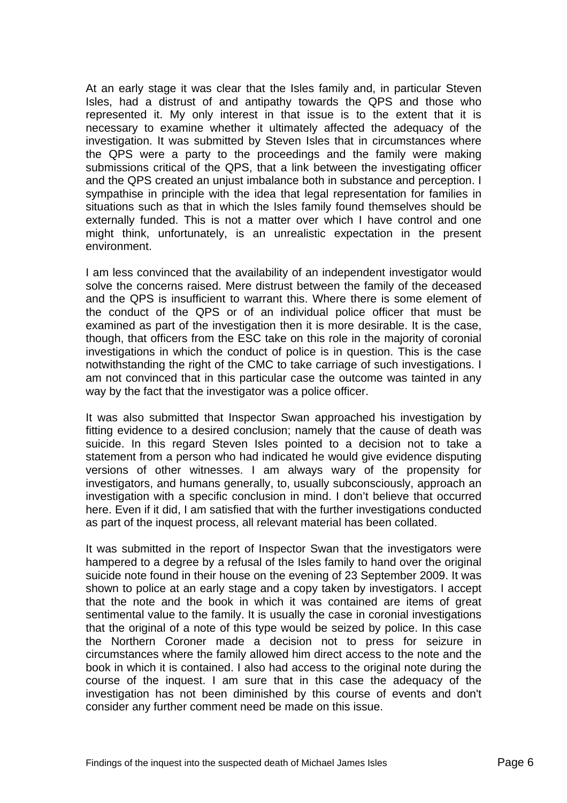At an early stage it was clear that the Isles family and, in particular Steven Isles, had a distrust of and antipathy towards the QPS and those who represented it. My only interest in that issue is to the extent that it is necessary to examine whether it ultimately affected the adequacy of the investigation. It was submitted by Steven Isles that in circumstances where the QPS were a party to the proceedings and the family were making submissions critical of the QPS, that a link between the investigating officer and the QPS created an unjust imbalance both in substance and perception. I sympathise in principle with the idea that legal representation for families in situations such as that in which the Isles family found themselves should be externally funded. This is not a matter over which I have control and one might think, unfortunately, is an unrealistic expectation in the present environment.

I am less convinced that the availability of an independent investigator would solve the concerns raised. Mere distrust between the family of the deceased and the QPS is insufficient to warrant this. Where there is some element of the conduct of the QPS or of an individual police officer that must be examined as part of the investigation then it is more desirable. It is the case, though, that officers from the ESC take on this role in the majority of coronial investigations in which the conduct of police is in question. This is the case notwithstanding the right of the CMC to take carriage of such investigations. I am not convinced that in this particular case the outcome was tainted in any way by the fact that the investigator was a police officer.

It was also submitted that Inspector Swan approached his investigation by fitting evidence to a desired conclusion; namely that the cause of death was suicide. In this regard Steven Isles pointed to a decision not to take a statement from a person who had indicated he would give evidence disputing versions of other witnesses. I am always wary of the propensity for investigators, and humans generally, to, usually subconsciously, approach an investigation with a specific conclusion in mind. I don't believe that occurred here. Even if it did, I am satisfied that with the further investigations conducted as part of the inquest process, all relevant material has been collated.

It was submitted in the report of Inspector Swan that the investigators were hampered to a degree by a refusal of the Isles family to hand over the original suicide note found in their house on the evening of 23 September 2009. It was shown to police at an early stage and a copy taken by investigators. I accept that the note and the book in which it was contained are items of great sentimental value to the family. It is usually the case in coronial investigations that the original of a note of this type would be seized by police. In this case the Northern Coroner made a decision not to press for seizure in circumstances where the family allowed him direct access to the note and the book in which it is contained. I also had access to the original note during the course of the inquest. I am sure that in this case the adequacy of the investigation has not been diminished by this course of events and don't consider any further comment need be made on this issue.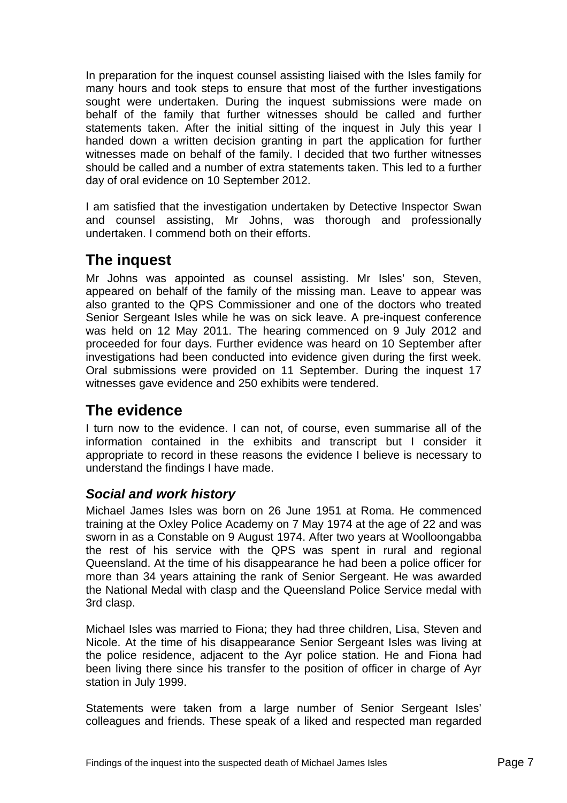<span id="page-8-0"></span>In preparation for the inquest counsel assisting liaised with the Isles family for many hours and took steps to ensure that most of the further investigations sought were undertaken. During the inquest submissions were made on behalf of the family that further witnesses should be called and further statements taken. After the initial sitting of the inquest in July this year I handed down a written decision granting in part the application for further witnesses made on behalf of the family. I decided that two further witnesses should be called and a number of extra statements taken. This led to a further day of oral evidence on 10 September 2012.

I am satisfied that the investigation undertaken by Detective Inspector Swan and counsel assisting, Mr Johns, was thorough and professionally undertaken. I commend both on their efforts.

# **The inquest**

Mr Johns was appointed as counsel assisting. Mr Isles' son, Steven, appeared on behalf of the family of the missing man. Leave to appear was also granted to the QPS Commissioner and one of the doctors who treated Senior Sergeant Isles while he was on sick leave. A pre-inquest conference was held on 12 May 2011. The hearing commenced on 9 July 2012 and proceeded for four days. Further evidence was heard on 10 September after investigations had been conducted into evidence given during the first week. Oral submissions were provided on 11 September. During the inquest 17 witnesses gave evidence and 250 exhibits were tendered.

# **The evidence**

I turn now to the evidence. I can not, of course, even summarise all of the information contained in the exhibits and transcript but I consider it appropriate to record in these reasons the evidence I believe is necessary to understand the findings I have made.

# *Social and work history*

Michael James Isles was born on 26 June 1951 at Roma. He commenced training at the Oxley Police Academy on 7 May 1974 at the age of 22 and was sworn in as a Constable on 9 August 1974. After two years at Woolloongabba the rest of his service with the QPS was spent in rural and regional Queensland. At the time of his disappearance he had been a police officer for more than 34 years attaining the rank of Senior Sergeant. He was awarded the National Medal with clasp and the Queensland Police Service medal with 3rd clasp.

Michael Isles was married to Fiona; they had three children, Lisa, Steven and Nicole. At the time of his disappearance Senior Sergeant Isles was living at the police residence, adjacent to the Ayr police station. He and Fiona had been living there since his transfer to the position of officer in charge of Ayr station in July 1999.

Statements were taken from a large number of Senior Sergeant Isles' colleagues and friends. These speak of a liked and respected man regarded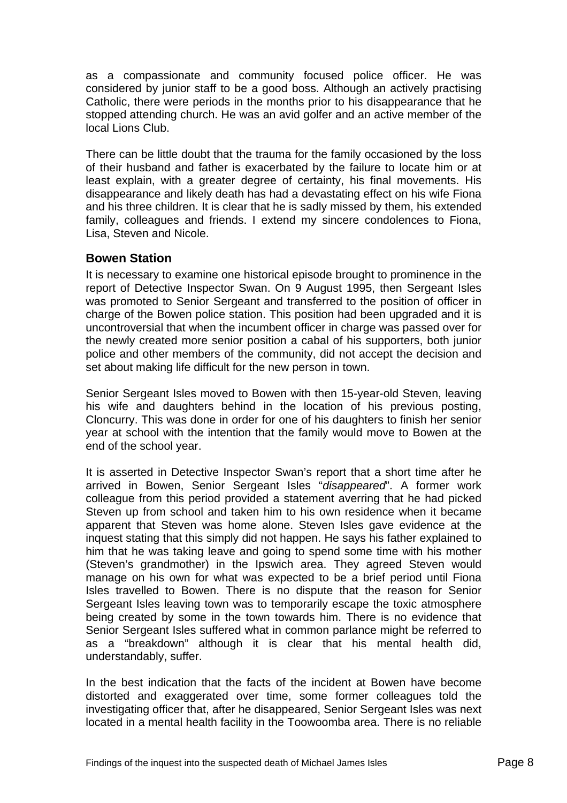<span id="page-9-0"></span>as a compassionate and community focused police officer. He was considered by junior staff to be a good boss. Although an actively practising Catholic, there were periods in the months prior to his disappearance that he stopped attending church. He was an avid golfer and an active member of the local Lions Club.

There can be little doubt that the trauma for the family occasioned by the loss of their husband and father is exacerbated by the failure to locate him or at least explain, with a greater degree of certainty, his final movements. His disappearance and likely death has had a devastating effect on his wife Fiona and his three children. It is clear that he is sadly missed by them, his extended family, colleagues and friends. I extend my sincere condolences to Fiona, Lisa, Steven and Nicole.

#### **Bowen Station**

It is necessary to examine one historical episode brought to prominence in the report of Detective Inspector Swan. On 9 August 1995, then Sergeant Isles was promoted to Senior Sergeant and transferred to the position of officer in charge of the Bowen police station. This position had been upgraded and it is uncontroversial that when the incumbent officer in charge was passed over for the newly created more senior position a cabal of his supporters, both junior police and other members of the community, did not accept the decision and set about making life difficult for the new person in town.

Senior Sergeant Isles moved to Bowen with then 15-year-old Steven, leaving his wife and daughters behind in the location of his previous posting, Cloncurry. This was done in order for one of his daughters to finish her senior year at school with the intention that the family would move to Bowen at the end of the school year.

It is asserted in Detective Inspector Swan's report that a short time after he arrived in Bowen, Senior Sergeant Isles "*disappeared*". A former work colleague from this period provided a statement averring that he had picked Steven up from school and taken him to his own residence when it became apparent that Steven was home alone. Steven Isles gave evidence at the inquest stating that this simply did not happen. He says his father explained to him that he was taking leave and going to spend some time with his mother (Steven's grandmother) in the Ipswich area. They agreed Steven would manage on his own for what was expected to be a brief period until Fiona Isles travelled to Bowen. There is no dispute that the reason for Senior Sergeant Isles leaving town was to temporarily escape the toxic atmosphere being created by some in the town towards him. There is no evidence that Senior Sergeant Isles suffered what in common parlance might be referred to as a "breakdown" although it is clear that his mental health did, understandably, suffer.

In the best indication that the facts of the incident at Bowen have become distorted and exaggerated over time, some former colleagues told the investigating officer that, after he disappeared, Senior Sergeant Isles was next located in a mental health facility in the Toowoomba area. There is no reliable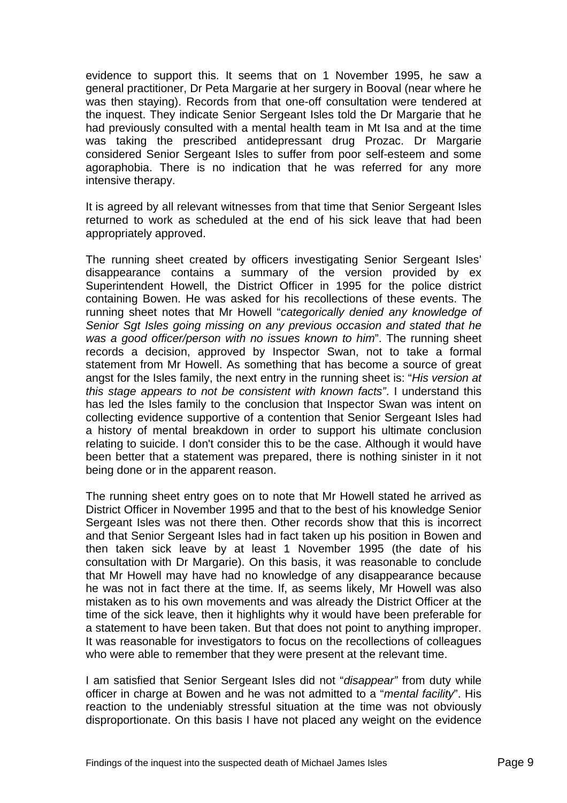evidence to support this. It seems that on 1 November 1995, he saw a general practitioner, Dr Peta Margarie at her surgery in Booval (near where he was then staying). Records from that one-off consultation were tendered at the inquest. They indicate Senior Sergeant Isles told the Dr Margarie that he had previously consulted with a mental health team in Mt Isa and at the time was taking the prescribed antidepressant drug Prozac. Dr Margarie considered Senior Sergeant Isles to suffer from poor self-esteem and some agoraphobia. There is no indication that he was referred for any more intensive therapy.

It is agreed by all relevant witnesses from that time that Senior Sergeant Isles returned to work as scheduled at the end of his sick leave that had been appropriately approved.

The running sheet created by officers investigating Senior Sergeant Isles' disappearance contains a summary of the version provided by ex Superintendent Howell, the District Officer in 1995 for the police district containing Bowen. He was asked for his recollections of these events. The running sheet notes that Mr Howell "*categorically denied any knowledge of Senior Sgt Isles going missing on any previous occasion and stated that he was a good officer/person with no issues known to him*". The running sheet records a decision, approved by Inspector Swan, not to take a formal statement from Mr Howell. As something that has become a source of great angst for the Isles family, the next entry in the running sheet is: "*His version at this stage appears to not be consistent with known facts"*. I understand this has led the Isles family to the conclusion that Inspector Swan was intent on collecting evidence supportive of a contention that Senior Sergeant Isles had a history of mental breakdown in order to support his ultimate conclusion relating to suicide. I don't consider this to be the case. Although it would have been better that a statement was prepared, there is nothing sinister in it not being done or in the apparent reason.

The running sheet entry goes on to note that Mr Howell stated he arrived as District Officer in November 1995 and that to the best of his knowledge Senior Sergeant Isles was not there then. Other records show that this is incorrect and that Senior Sergeant Isles had in fact taken up his position in Bowen and then taken sick leave by at least 1 November 1995 (the date of his consultation with Dr Margarie). On this basis, it was reasonable to conclude that Mr Howell may have had no knowledge of any disappearance because he was not in fact there at the time. If, as seems likely, Mr Howell was also mistaken as to his own movements and was already the District Officer at the time of the sick leave, then it highlights why it would have been preferable for a statement to have been taken. But that does not point to anything improper. It was reasonable for investigators to focus on the recollections of colleagues who were able to remember that they were present at the relevant time.

I am satisfied that Senior Sergeant Isles did not "*disappear"* from duty while officer in charge at Bowen and he was not admitted to a "*mental facility*". His reaction to the undeniably stressful situation at the time was not obviously disproportionate. On this basis I have not placed any weight on the evidence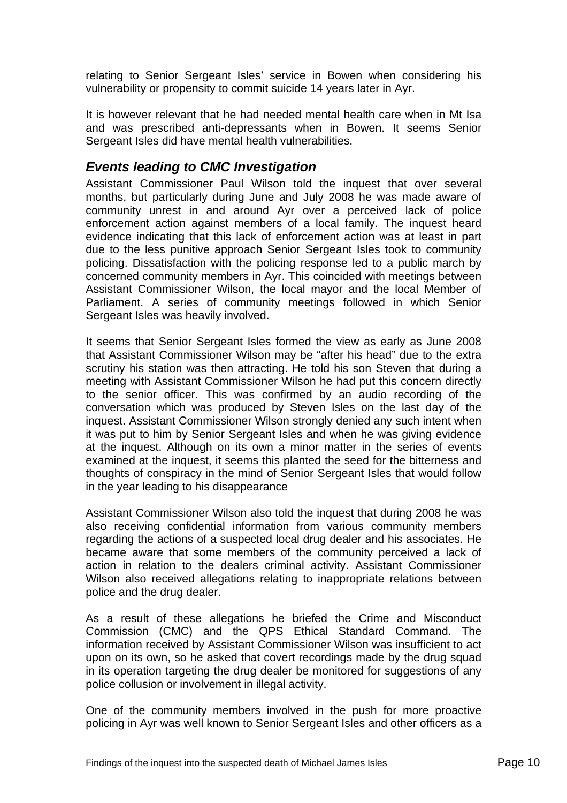<span id="page-11-0"></span>relating to Senior Sergeant Isles' service in Bowen when considering his vulnerability or propensity to commit suicide 14 years later in Ayr.

It is however relevant that he had needed mental health care when in Mt Isa and was prescribed anti-depressants when in Bowen. It seems Senior Sergeant Isles did have mental health vulnerabilities.

## *Events leading to CMC Investigation*

Assistant Commissioner Paul Wilson told the inquest that over several months, but particularly during June and July 2008 he was made aware of community unrest in and around Ayr over a perceived lack of police enforcement action against members of a local family. The inquest heard evidence indicating that this lack of enforcement action was at least in part due to the less punitive approach Senior Sergeant Isles took to community policing. Dissatisfaction with the policing response led to a public march by concerned community members in Ayr. This coincided with meetings between Assistant Commissioner Wilson, the local mayor and the local Member of Parliament. A series of community meetings followed in which Senior Sergeant Isles was heavily involved.

It seems that Senior Sergeant Isles formed the view as early as June 2008 that Assistant Commissioner Wilson may be "after his head" due to the extra scrutiny his station was then attracting. He told his son Steven that during a meeting with Assistant Commissioner Wilson he had put this concern directly to the senior officer. This was confirmed by an audio recording of the conversation which was produced by Steven Isles on the last day of the inquest. Assistant Commissioner Wilson strongly denied any such intent when it was put to him by Senior Sergeant Isles and when he was giving evidence at the inquest. Although on its own a minor matter in the series of events examined at the inquest, it seems this planted the seed for the bitterness and thoughts of conspiracy in the mind of Senior Sergeant Isles that would follow in the year leading to his disappearance

Assistant Commissioner Wilson also told the inquest that during 2008 he was also receiving confidential information from various community members regarding the actions of a suspected local drug dealer and his associates. He became aware that some members of the community perceived a lack of action in relation to the dealers criminal activity. Assistant Commissioner Wilson also received allegations relating to inappropriate relations between police and the drug dealer.

As a result of these allegations he briefed the Crime and Misconduct Commission (CMC) and the QPS Ethical Standard Command. The information received by Assistant Commissioner Wilson was insufficient to act upon on its own, so he asked that covert recordings made by the drug squad in its operation targeting the drug dealer be monitored for suggestions of any police collusion or involvement in illegal activity.

One of the community members involved in the push for more proactive policing in Ayr was well known to Senior Sergeant Isles and other officers as a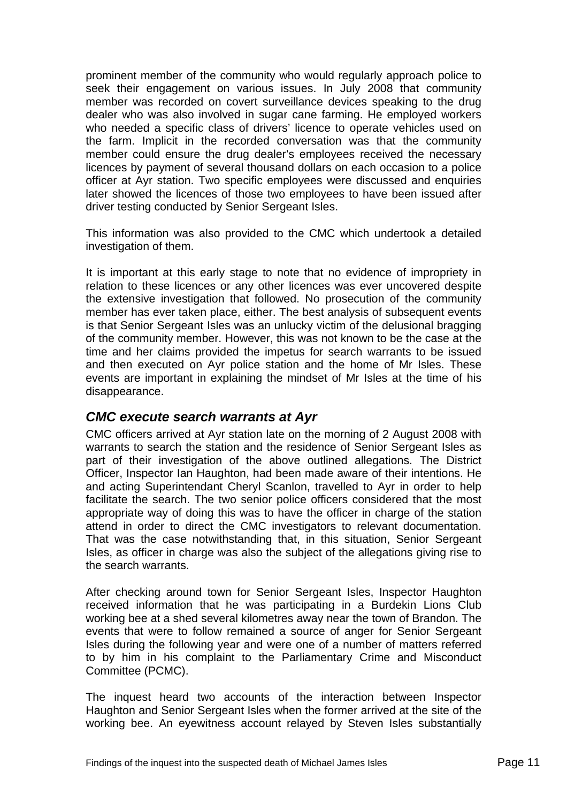<span id="page-12-0"></span>prominent member of the community who would regularly approach police to seek their engagement on various issues. In July 2008 that community member was recorded on covert surveillance devices speaking to the drug dealer who was also involved in sugar cane farming. He employed workers who needed a specific class of drivers' licence to operate vehicles used on the farm. Implicit in the recorded conversation was that the community member could ensure the drug dealer's employees received the necessary licences by payment of several thousand dollars on each occasion to a police officer at Ayr station. Two specific employees were discussed and enquiries later showed the licences of those two employees to have been issued after driver testing conducted by Senior Sergeant Isles.

This information was also provided to the CMC which undertook a detailed investigation of them.

It is important at this early stage to note that no evidence of impropriety in relation to these licences or any other licences was ever uncovered despite the extensive investigation that followed. No prosecution of the community member has ever taken place, either. The best analysis of subsequent events is that Senior Sergeant Isles was an unlucky victim of the delusional bragging of the community member. However, this was not known to be the case at the time and her claims provided the impetus for search warrants to be issued and then executed on Ayr police station and the home of Mr Isles. These events are important in explaining the mindset of Mr Isles at the time of his disappearance.

#### *CMC execute search warrants at Ayr*

CMC officers arrived at Ayr station late on the morning of 2 August 2008 with warrants to search the station and the residence of Senior Sergeant Isles as part of their investigation of the above outlined allegations. The District Officer, Inspector Ian Haughton, had been made aware of their intentions. He and acting Superintendant Cheryl Scanlon, travelled to Ayr in order to help facilitate the search. The two senior police officers considered that the most appropriate way of doing this was to have the officer in charge of the station attend in order to direct the CMC investigators to relevant documentation. That was the case notwithstanding that, in this situation, Senior Sergeant Isles, as officer in charge was also the subject of the allegations giving rise to the search warrants.

After checking around town for Senior Sergeant Isles, Inspector Haughton received information that he was participating in a Burdekin Lions Club working bee at a shed several kilometres away near the town of Brandon. The events that were to follow remained a source of anger for Senior Sergeant Isles during the following year and were one of a number of matters referred to by him in his complaint to the Parliamentary Crime and Misconduct Committee (PCMC).

The inquest heard two accounts of the interaction between Inspector Haughton and Senior Sergeant Isles when the former arrived at the site of the working bee. An eyewitness account relayed by Steven Isles substantially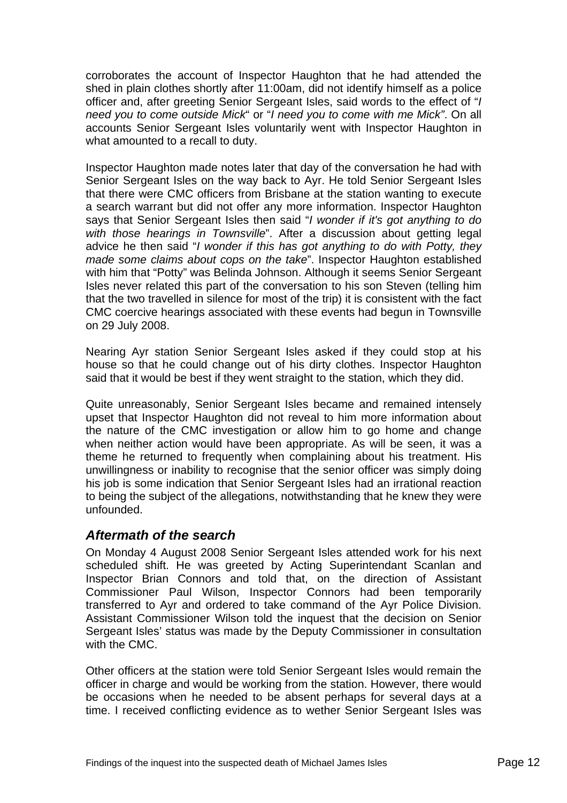<span id="page-13-0"></span>corroborates the account of Inspector Haughton that he had attended the shed in plain clothes shortly after 11:00am, did not identify himself as a police officer and, after greeting Senior Sergeant Isles, said words to the effect of "*I need you to come outside Mick*" or "*I need you to come with me Mick"*. On all accounts Senior Sergeant Isles voluntarily went with Inspector Haughton in what amounted to a recall to duty.

Inspector Haughton made notes later that day of the conversation he had with Senior Sergeant Isles on the way back to Ayr. He told Senior Sergeant Isles that there were CMC officers from Brisbane at the station wanting to execute a search warrant but did not offer any more information. Inspector Haughton says that Senior Sergeant Isles then said "*I wonder if it's got anything to do with those hearings in Townsville*". After a discussion about getting legal advice he then said "*I wonder if this has got anything to do with Potty, they made some claims about cops on the take*". Inspector Haughton established with him that "Potty" was Belinda Johnson. Although it seems Senior Sergeant Isles never related this part of the conversation to his son Steven (telling him that the two travelled in silence for most of the trip) it is consistent with the fact CMC coercive hearings associated with these events had begun in Townsville on 29 July 2008.

Nearing Ayr station Senior Sergeant Isles asked if they could stop at his house so that he could change out of his dirty clothes. Inspector Haughton said that it would be best if they went straight to the station, which they did.

Quite unreasonably, Senior Sergeant Isles became and remained intensely upset that Inspector Haughton did not reveal to him more information about the nature of the CMC investigation or allow him to go home and change when neither action would have been appropriate. As will be seen, it was a theme he returned to frequently when complaining about his treatment. His unwillingness or inability to recognise that the senior officer was simply doing his job is some indication that Senior Sergeant Isles had an irrational reaction to being the subject of the allegations, notwithstanding that he knew they were unfounded.

## *Aftermath of the search*

On Monday 4 August 2008 Senior Sergeant Isles attended work for his next scheduled shift. He was greeted by Acting Superintendant Scanlan and Inspector Brian Connors and told that, on the direction of Assistant Commissioner Paul Wilson, Inspector Connors had been temporarily transferred to Ayr and ordered to take command of the Ayr Police Division. Assistant Commissioner Wilson told the inquest that the decision on Senior Sergeant Isles' status was made by the Deputy Commissioner in consultation with the CMC.

Other officers at the station were told Senior Sergeant Isles would remain the officer in charge and would be working from the station. However, there would be occasions when he needed to be absent perhaps for several days at a time. I received conflicting evidence as to wether Senior Sergeant Isles was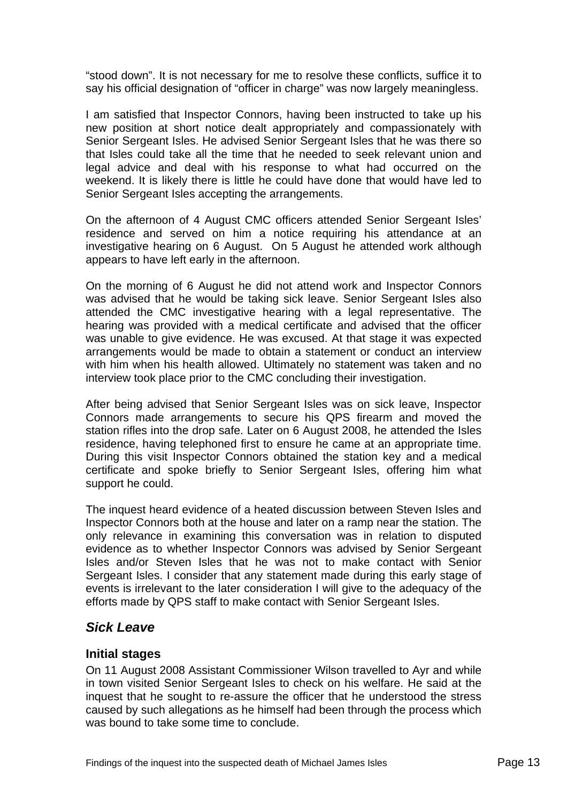<span id="page-14-0"></span>"stood down". It is not necessary for me to resolve these conflicts, suffice it to say his official designation of "officer in charge" was now largely meaningless.

I am satisfied that Inspector Connors, having been instructed to take up his new position at short notice dealt appropriately and compassionately with Senior Sergeant Isles. He advised Senior Sergeant Isles that he was there so that Isles could take all the time that he needed to seek relevant union and legal advice and deal with his response to what had occurred on the weekend. It is likely there is little he could have done that would have led to Senior Sergeant Isles accepting the arrangements.

On the afternoon of 4 August CMC officers attended Senior Sergeant Isles' residence and served on him a notice requiring his attendance at an investigative hearing on 6 August. On 5 August he attended work although appears to have left early in the afternoon.

On the morning of 6 August he did not attend work and Inspector Connors was advised that he would be taking sick leave. Senior Sergeant Isles also attended the CMC investigative hearing with a legal representative. The hearing was provided with a medical certificate and advised that the officer was unable to give evidence. He was excused. At that stage it was expected arrangements would be made to obtain a statement or conduct an interview with him when his health allowed. Ultimately no statement was taken and no interview took place prior to the CMC concluding their investigation.

After being advised that Senior Sergeant Isles was on sick leave, Inspector Connors made arrangements to secure his QPS firearm and moved the station rifles into the drop safe. Later on 6 August 2008, he attended the Isles residence, having telephoned first to ensure he came at an appropriate time. During this visit Inspector Connors obtained the station key and a medical certificate and spoke briefly to Senior Sergeant Isles, offering him what support he could.

The inquest heard evidence of a heated discussion between Steven Isles and Inspector Connors both at the house and later on a ramp near the station. The only relevance in examining this conversation was in relation to disputed evidence as to whether Inspector Connors was advised by Senior Sergeant Isles and/or Steven Isles that he was not to make contact with Senior Sergeant Isles. I consider that any statement made during this early stage of events is irrelevant to the later consideration I will give to the adequacy of the efforts made by QPS staff to make contact with Senior Sergeant Isles.

# *Sick Leave*

#### **Initial stages**

On 11 August 2008 Assistant Commissioner Wilson travelled to Ayr and while in town visited Senior Sergeant Isles to check on his welfare. He said at the inquest that he sought to re-assure the officer that he understood the stress caused by such allegations as he himself had been through the process which was bound to take some time to conclude.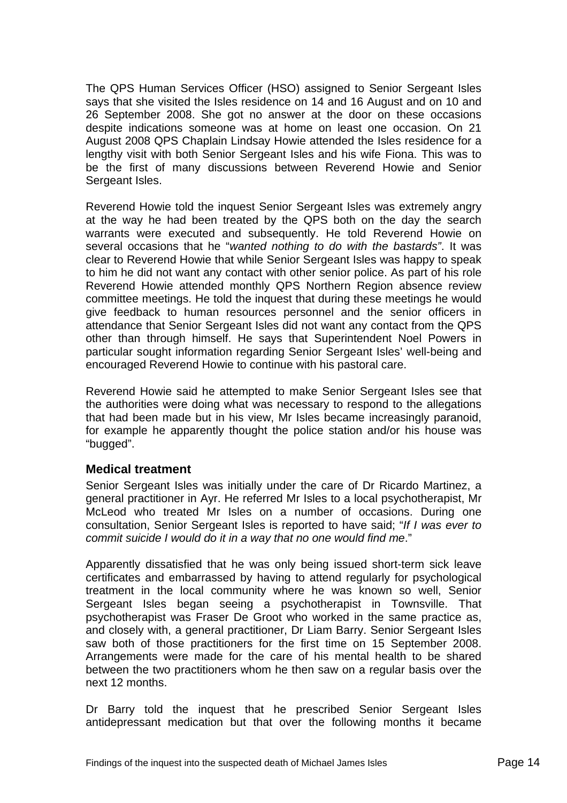<span id="page-15-0"></span>The QPS Human Services Officer (HSO) assigned to Senior Sergeant Isles says that she visited the Isles residence on 14 and 16 August and on 10 and 26 September 2008. She got no answer at the door on these occasions despite indications someone was at home on least one occasion. On 21 August 2008 QPS Chaplain Lindsay Howie attended the Isles residence for a lengthy visit with both Senior Sergeant Isles and his wife Fiona. This was to be the first of many discussions between Reverend Howie and Senior Sergeant Isles.

Reverend Howie told the inquest Senior Sergeant Isles was extremely angry at the way he had been treated by the QPS both on the day the search warrants were executed and subsequently. He told Reverend Howie on several occasions that he "*wanted nothing to do with the bastards"*. It was clear to Reverend Howie that while Senior Sergeant Isles was happy to speak to him he did not want any contact with other senior police. As part of his role Reverend Howie attended monthly QPS Northern Region absence review committee meetings. He told the inquest that during these meetings he would give feedback to human resources personnel and the senior officers in attendance that Senior Sergeant Isles did not want any contact from the QPS other than through himself. He says that Superintendent Noel Powers in particular sought information regarding Senior Sergeant Isles' well-being and encouraged Reverend Howie to continue with his pastoral care.

Reverend Howie said he attempted to make Senior Sergeant Isles see that the authorities were doing what was necessary to respond to the allegations that had been made but in his view, Mr Isles became increasingly paranoid, for example he apparently thought the police station and/or his house was "bugged".

#### **Medical treatment**

Senior Sergeant Isles was initially under the care of Dr Ricardo Martinez, a general practitioner in Ayr. He referred Mr Isles to a local psychotherapist, Mr McLeod who treated Mr Isles on a number of occasions. During one consultation, Senior Sergeant Isles is reported to have said; "*If I was ever to commit suicide I would do it in a way that no one would find me*."

Apparently dissatisfied that he was only being issued short-term sick leave certificates and embarrassed by having to attend regularly for psychological treatment in the local community where he was known so well, Senior Sergeant Isles began seeing a psychotherapist in Townsville. That psychotherapist was Fraser De Groot who worked in the same practice as, and closely with, a general practitioner, Dr Liam Barry. Senior Sergeant Isles saw both of those practitioners for the first time on 15 September 2008. Arrangements were made for the care of his mental health to be shared between the two practitioners whom he then saw on a regular basis over the next 12 months.

Dr Barry told the inquest that he prescribed Senior Sergeant Isles antidepressant medication but that over the following months it became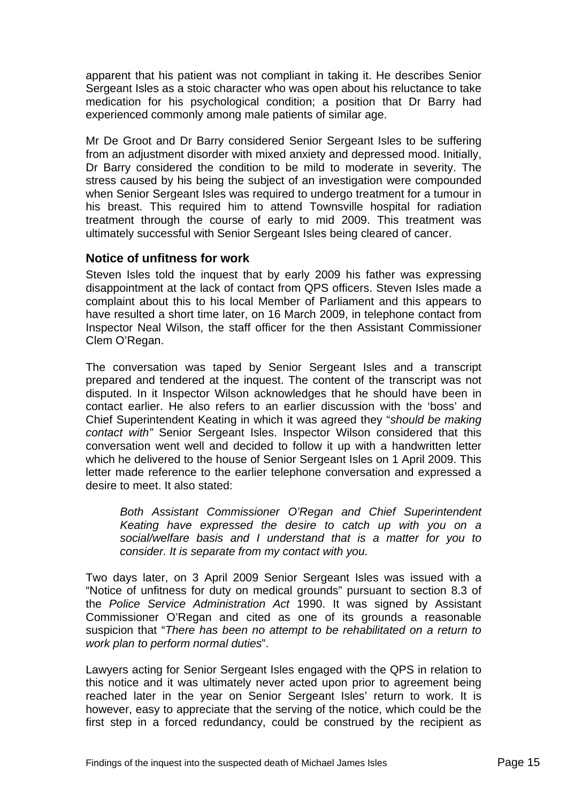<span id="page-16-0"></span>apparent that his patient was not compliant in taking it. He describes Senior Sergeant Isles as a stoic character who was open about his reluctance to take medication for his psychological condition; a position that Dr Barry had experienced commonly among male patients of similar age.

Mr De Groot and Dr Barry considered Senior Sergeant Isles to be suffering from an adjustment disorder with mixed anxiety and depressed mood. Initially, Dr Barry considered the condition to be mild to moderate in severity. The stress caused by his being the subject of an investigation were compounded when Senior Sergeant Isles was required to undergo treatment for a tumour in his breast. This required him to attend Townsville hospital for radiation treatment through the course of early to mid 2009. This treatment was ultimately successful with Senior Sergeant Isles being cleared of cancer.

#### **Notice of unfitness for work**

Steven Isles told the inquest that by early 2009 his father was expressing disappointment at the lack of contact from QPS officers. Steven Isles made a complaint about this to his local Member of Parliament and this appears to have resulted a short time later, on 16 March 2009, in telephone contact from Inspector Neal Wilson, the staff officer for the then Assistant Commissioner Clem O'Regan.

The conversation was taped by Senior Sergeant Isles and a transcript prepared and tendered at the inquest. The content of the transcript was not disputed. In it Inspector Wilson acknowledges that he should have been in contact earlier. He also refers to an earlier discussion with the 'boss' and Chief Superintendent Keating in which it was agreed they "*should be making contact with"* Senior Sergeant Isles. Inspector Wilson considered that this conversation went well and decided to follow it up with a handwritten letter which he delivered to the house of Senior Sergeant Isles on 1 April 2009. This letter made reference to the earlier telephone conversation and expressed a desire to meet. It also stated:

*Both Assistant Commissioner O'Regan and Chief Superintendent Keating have expressed the desire to catch up with you on a social/welfare basis and I understand that is a matter for you to consider. It is separate from my contact with you.* 

Two days later, on 3 April 2009 Senior Sergeant Isles was issued with a "Notice of unfitness for duty on medical grounds" pursuant to section 8.3 of the *Police Service Administration Act* 1990. It was signed by Assistant Commissioner O'Regan and cited as one of its grounds a reasonable suspicion that "*There has been no attempt to be rehabilitated on a return to work plan to perform normal duties*".

Lawyers acting for Senior Sergeant Isles engaged with the QPS in relation to this notice and it was ultimately never acted upon prior to agreement being reached later in the year on Senior Sergeant Isles' return to work. It is however, easy to appreciate that the serving of the notice, which could be the first step in a forced redundancy, could be construed by the recipient as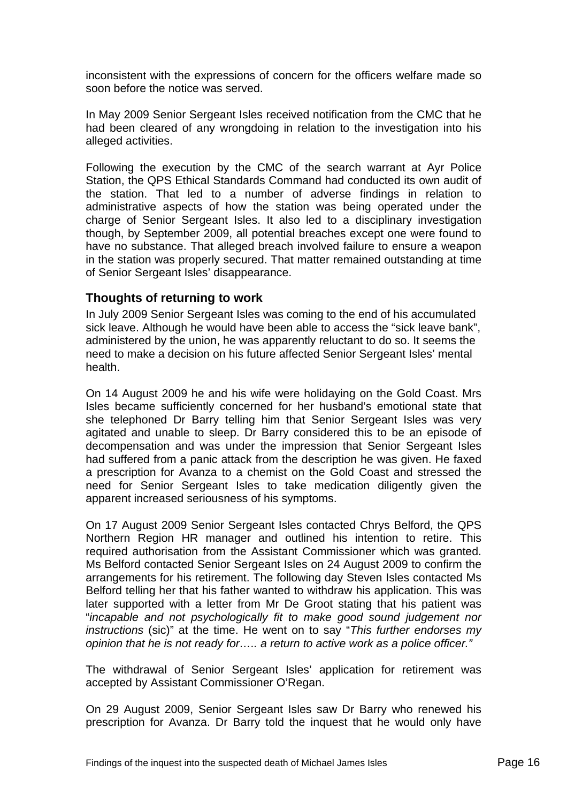<span id="page-17-0"></span>inconsistent with the expressions of concern for the officers welfare made so soon before the notice was served.

In May 2009 Senior Sergeant Isles received notification from the CMC that he had been cleared of any wrongdoing in relation to the investigation into his alleged activities.

Following the execution by the CMC of the search warrant at Ayr Police Station, the QPS Ethical Standards Command had conducted its own audit of the station. That led to a number of adverse findings in relation to administrative aspects of how the station was being operated under the charge of Senior Sergeant Isles. It also led to a disciplinary investigation though, by September 2009, all potential breaches except one were found to have no substance. That alleged breach involved failure to ensure a weapon in the station was properly secured. That matter remained outstanding at time of Senior Sergeant Isles' disappearance.

#### **Thoughts of returning to work**

In July 2009 Senior Sergeant Isles was coming to the end of his accumulated sick leave. Although he would have been able to access the "sick leave bank", administered by the union, he was apparently reluctant to do so. It seems the need to make a decision on his future affected Senior Sergeant Isles' mental health.

On 14 August 2009 he and his wife were holidaying on the Gold Coast. Mrs Isles became sufficiently concerned for her husband's emotional state that she telephoned Dr Barry telling him that Senior Sergeant Isles was very agitated and unable to sleep. Dr Barry considered this to be an episode of decompensation and was under the impression that Senior Sergeant Isles had suffered from a panic attack from the description he was given. He faxed a prescription for Avanza to a chemist on the Gold Coast and stressed the need for Senior Sergeant Isles to take medication diligently given the apparent increased seriousness of his symptoms.

On 17 August 2009 Senior Sergeant Isles contacted Chrys Belford, the QPS Northern Region HR manager and outlined his intention to retire. This required authorisation from the Assistant Commissioner which was granted. Ms Belford contacted Senior Sergeant Isles on 24 August 2009 to confirm the arrangements for his retirement. The following day Steven Isles contacted Ms Belford telling her that his father wanted to withdraw his application. This was later supported with a letter from Mr De Groot stating that his patient was "*incapable and not psychologically fit to make good sound judgement nor instructions* (sic)" at the time. He went on to say "*This further endorses my opinion that he is not ready for….. a return to active work as a police officer."* 

The withdrawal of Senior Sergeant Isles' application for retirement was accepted by Assistant Commissioner O'Regan.

On 29 August 2009, Senior Sergeant Isles saw Dr Barry who renewed his prescription for Avanza. Dr Barry told the inquest that he would only have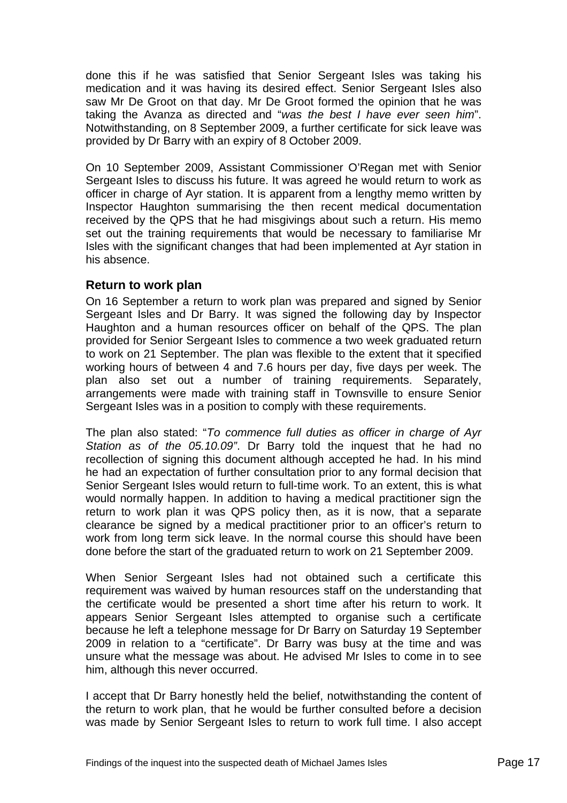<span id="page-18-0"></span>done this if he was satisfied that Senior Sergeant Isles was taking his medication and it was having its desired effect. Senior Sergeant Isles also saw Mr De Groot on that day. Mr De Groot formed the opinion that he was taking the Avanza as directed and "*was the best I have ever seen him*". Notwithstanding, on 8 September 2009, a further certificate for sick leave was provided by Dr Barry with an expiry of 8 October 2009.

On 10 September 2009, Assistant Commissioner O'Regan met with Senior Sergeant Isles to discuss his future. It was agreed he would return to work as officer in charge of Ayr station. It is apparent from a lengthy memo written by Inspector Haughton summarising the then recent medical documentation received by the QPS that he had misgivings about such a return. His memo set out the training requirements that would be necessary to familiarise Mr Isles with the significant changes that had been implemented at Ayr station in his absence.

#### **Return to work plan**

On 16 September a return to work plan was prepared and signed by Senior Sergeant Isles and Dr Barry. It was signed the following day by Inspector Haughton and a human resources officer on behalf of the QPS. The plan provided for Senior Sergeant Isles to commence a two week graduated return to work on 21 September. The plan was flexible to the extent that it specified working hours of between 4 and 7.6 hours per day, five days per week. The plan also set out a number of training requirements. Separately, arrangements were made with training staff in Townsville to ensure Senior Sergeant Isles was in a position to comply with these requirements.

The plan also stated: "*To commence full duties as officer in charge of Ayr Station as of the 05.10.09"*. Dr Barry told the inquest that he had no recollection of signing this document although accepted he had. In his mind he had an expectation of further consultation prior to any formal decision that Senior Sergeant Isles would return to full-time work. To an extent, this is what would normally happen. In addition to having a medical practitioner sign the return to work plan it was QPS policy then, as it is now, that a separate clearance be signed by a medical practitioner prior to an officer's return to work from long term sick leave. In the normal course this should have been done before the start of the graduated return to work on 21 September 2009.

When Senior Sergeant Isles had not obtained such a certificate this requirement was waived by human resources staff on the understanding that the certificate would be presented a short time after his return to work. It appears Senior Sergeant Isles attempted to organise such a certificate because he left a telephone message for Dr Barry on Saturday 19 September 2009 in relation to a "certificate". Dr Barry was busy at the time and was unsure what the message was about. He advised Mr Isles to come in to see him, although this never occurred.

I accept that Dr Barry honestly held the belief, notwithstanding the content of the return to work plan, that he would be further consulted before a decision was made by Senior Sergeant Isles to return to work full time. I also accept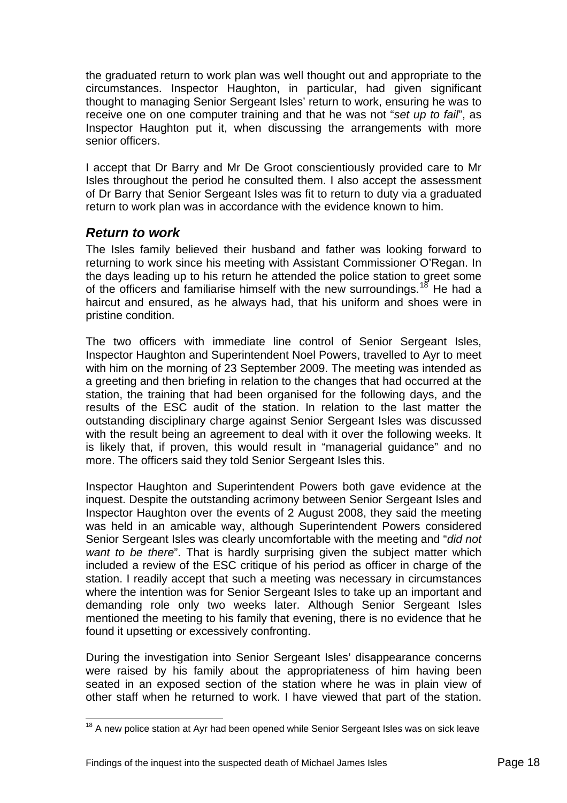<span id="page-19-0"></span>the graduated return to work plan was well thought out and appropriate to the circumstances. Inspector Haughton, in particular, had given significant thought to managing Senior Sergeant Isles' return to work, ensuring he was to receive one on one computer training and that he was not "*set up to fail*", as Inspector Haughton put it, when discussing the arrangements with more senior officers.

I accept that Dr Barry and Mr De Groot conscientiously provided care to Mr Isles throughout the period he consulted them. I also accept the assessment of Dr Barry that Senior Sergeant Isles was fit to return to duty via a graduated return to work plan was in accordance with the evidence known to him.

#### *Return to work*

 $\overline{a}$ 

The Isles family believed their husband and father was looking forward to returning to work since his meeting with Assistant Commissioner O'Regan. In the days leading up to his return he attended the police station to greet some of the officers and familiarise himself with the new surroundings.<sup>[18](#page-19-1)</sup> He had a haircut and ensured, as he always had, that his uniform and shoes were in pristine condition.

The two officers with immediate line control of Senior Sergeant Isles, Inspector Haughton and Superintendent Noel Powers, travelled to Ayr to meet with him on the morning of 23 September 2009. The meeting was intended as a greeting and then briefing in relation to the changes that had occurred at the station, the training that had been organised for the following days, and the results of the ESC audit of the station. In relation to the last matter the outstanding disciplinary charge against Senior Sergeant Isles was discussed with the result being an agreement to deal with it over the following weeks. It is likely that, if proven, this would result in "managerial guidance" and no more. The officers said they told Senior Sergeant Isles this.

Inspector Haughton and Superintendent Powers both gave evidence at the inquest. Despite the outstanding acrimony between Senior Sergeant Isles and Inspector Haughton over the events of 2 August 2008, they said the meeting was held in an amicable way, although Superintendent Powers considered Senior Sergeant Isles was clearly uncomfortable with the meeting and "*did not want to be there*". That is hardly surprising given the subject matter which included a review of the ESC critique of his period as officer in charge of the station. I readily accept that such a meeting was necessary in circumstances where the intention was for Senior Sergeant Isles to take up an important and demanding role only two weeks later. Although Senior Sergeant Isles mentioned the meeting to his family that evening, there is no evidence that he found it upsetting or excessively confronting.

During the investigation into Senior Sergeant Isles' disappearance concerns were raised by his family about the appropriateness of him having been seated in an exposed section of the station where he was in plain view of other staff when he returned to work. I have viewed that part of the station.

<span id="page-19-1"></span> $18$  A new police station at Ayr had been opened while Senior Sergeant Isles was on sick leave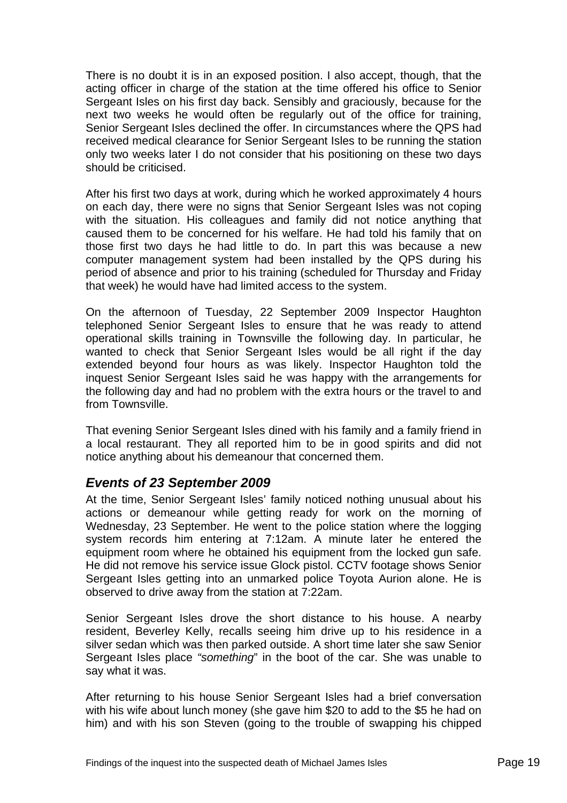<span id="page-20-0"></span>There is no doubt it is in an exposed position. I also accept, though, that the acting officer in charge of the station at the time offered his office to Senior Sergeant Isles on his first day back. Sensibly and graciously, because for the next two weeks he would often be regularly out of the office for training, Senior Sergeant Isles declined the offer. In circumstances where the QPS had received medical clearance for Senior Sergeant Isles to be running the station only two weeks later I do not consider that his positioning on these two days should be criticised.

After his first two days at work, during which he worked approximately 4 hours on each day, there were no signs that Senior Sergeant Isles was not coping with the situation. His colleagues and family did not notice anything that caused them to be concerned for his welfare. He had told his family that on those first two days he had little to do. In part this was because a new computer management system had been installed by the QPS during his period of absence and prior to his training (scheduled for Thursday and Friday that week) he would have had limited access to the system.

On the afternoon of Tuesday, 22 September 2009 Inspector Haughton telephoned Senior Sergeant Isles to ensure that he was ready to attend operational skills training in Townsville the following day. In particular, he wanted to check that Senior Sergeant Isles would be all right if the day extended beyond four hours as was likely. Inspector Haughton told the inquest Senior Sergeant Isles said he was happy with the arrangements for the following day and had no problem with the extra hours or the travel to and from Townsville.

That evening Senior Sergeant Isles dined with his family and a family friend in a local restaurant. They all reported him to be in good spirits and did not notice anything about his demeanour that concerned them.

#### *Events of 23 September 2009*

At the time, Senior Sergeant Isles' family noticed nothing unusual about his actions or demeanour while getting ready for work on the morning of Wednesday, 23 September. He went to the police station where the logging system records him entering at 7:12am. A minute later he entered the equipment room where he obtained his equipment from the locked gun safe. He did not remove his service issue Glock pistol. CCTV footage shows Senior Sergeant Isles getting into an unmarked police Toyota Aurion alone. He is observed to drive away from the station at 7:22am.

Senior Sergeant Isles drove the short distance to his house. A nearby resident, Beverley Kelly, recalls seeing him drive up to his residence in a silver sedan which was then parked outside. A short time later she saw Senior Sergeant Isles place *"something*" in the boot of the car. She was unable to say what it was.

After returning to his house Senior Sergeant Isles had a brief conversation with his wife about lunch money (she gave him \$20 to add to the \$5 he had on him) and with his son Steven (going to the trouble of swapping his chipped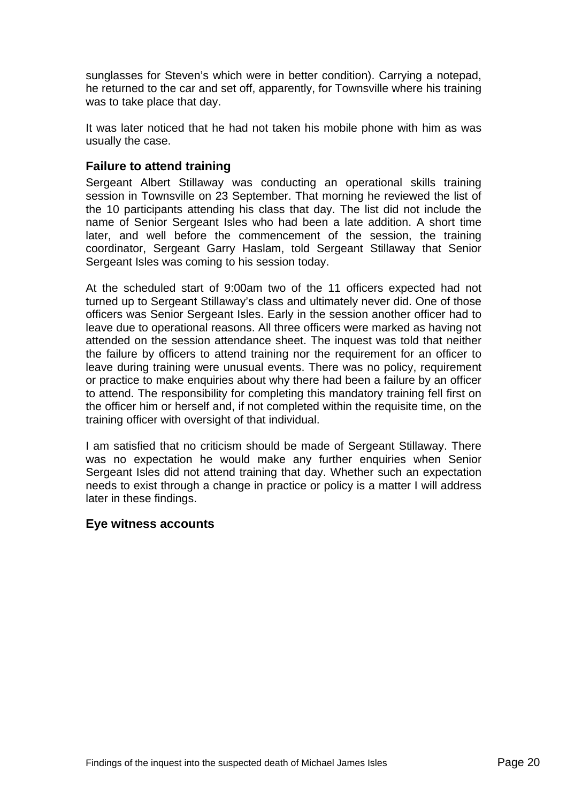<span id="page-21-0"></span>sunglasses for Steven's which were in better condition). Carrying a notepad, he returned to the car and set off, apparently, for Townsville where his training was to take place that day.

It was later noticed that he had not taken his mobile phone with him as was usually the case.

#### **Failure to attend training**

Sergeant Albert Stillaway was conducting an operational skills training session in Townsville on 23 September. That morning he reviewed the list of the 10 participants attending his class that day. The list did not include the name of Senior Sergeant Isles who had been a late addition. A short time later, and well before the commencement of the session, the training coordinator, Sergeant Garry Haslam, told Sergeant Stillaway that Senior Sergeant Isles was coming to his session today.

At the scheduled start of 9:00am two of the 11 officers expected had not turned up to Sergeant Stillaway's class and ultimately never did. One of those officers was Senior Sergeant Isles. Early in the session another officer had to leave due to operational reasons. All three officers were marked as having not attended on the session attendance sheet. The inquest was told that neither the failure by officers to attend training nor the requirement for an officer to leave during training were unusual events. There was no policy, requirement or practice to make enquiries about why there had been a failure by an officer to attend. The responsibility for completing this mandatory training fell first on the officer him or herself and, if not completed within the requisite time, on the training officer with oversight of that individual.

I am satisfied that no criticism should be made of Sergeant Stillaway. There was no expectation he would make any further enquiries when Senior Sergeant Isles did not attend training that day. Whether such an expectation needs to exist through a change in practice or policy is a matter I will address later in these findings.

#### **Eye witness accounts**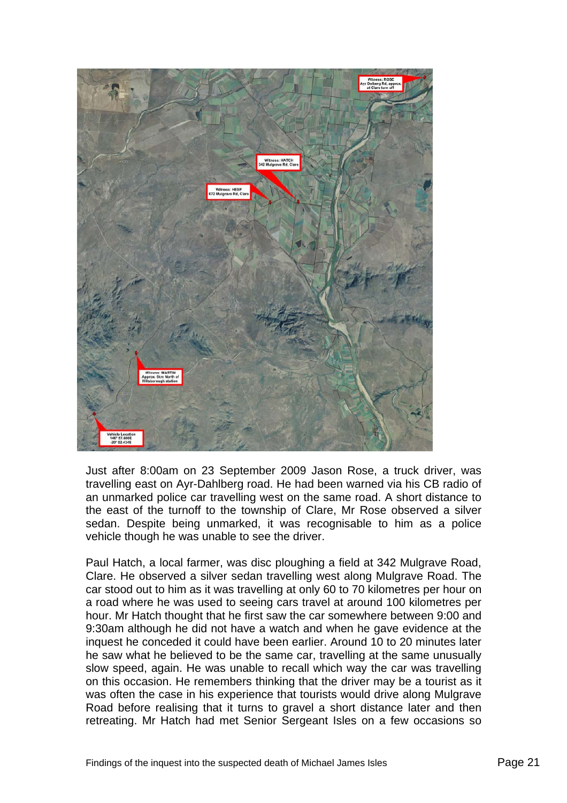

Just after 8:00am on 23 September 2009 Jason Rose, a truck driver, was travelling east on Ayr-Dahlberg road. He had been warned via his CB radio of an unmarked police car travelling west on the same road. A short distance to the east of the turnoff to the township of Clare, Mr Rose observed a silver sedan. Despite being unmarked, it was recognisable to him as a police vehicle though he was unable to see the driver.

Paul Hatch, a local farmer, was disc ploughing a field at 342 Mulgrave Road, Clare. He observed a silver sedan travelling west along Mulgrave Road. The car stood out to him as it was travelling at only 60 to 70 kilometres per hour on a road where he was used to seeing cars travel at around 100 kilometres per hour. Mr Hatch thought that he first saw the car somewhere between 9:00 and 9:30am although he did not have a watch and when he gave evidence at the inquest he conceded it could have been earlier. Around 10 to 20 minutes later he saw what he believed to be the same car, travelling at the same unusually slow speed, again. He was unable to recall which way the car was travelling on this occasion. He remembers thinking that the driver may be a tourist as it was often the case in his experience that tourists would drive along Mulgrave Road before realising that it turns to gravel a short distance later and then retreating. Mr Hatch had met Senior Sergeant Isles on a few occasions so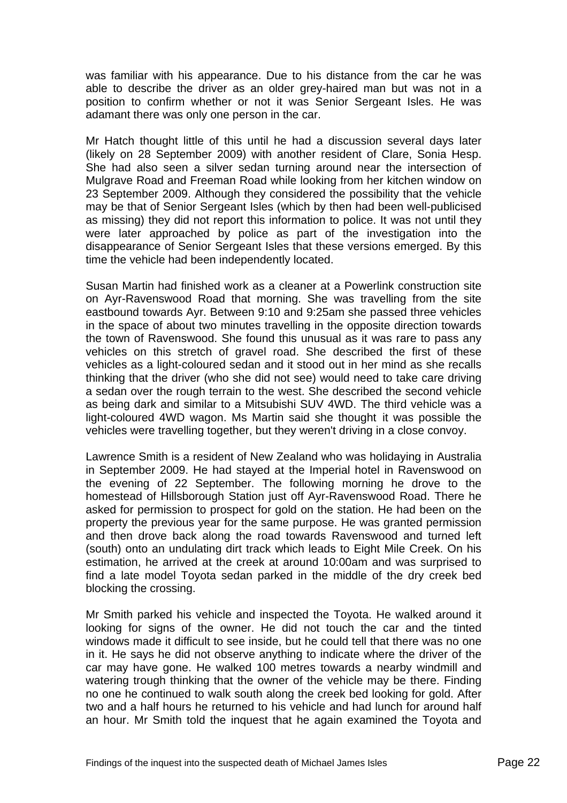was familiar with his appearance. Due to his distance from the car he was able to describe the driver as an older grey-haired man but was not in a position to confirm whether or not it was Senior Sergeant Isles. He was adamant there was only one person in the car.

Mr Hatch thought little of this until he had a discussion several days later (likely on 28 September 2009) with another resident of Clare, Sonia Hesp. She had also seen a silver sedan turning around near the intersection of Mulgrave Road and Freeman Road while looking from her kitchen window on 23 September 2009. Although they considered the possibility that the vehicle may be that of Senior Sergeant Isles (which by then had been well-publicised as missing) they did not report this information to police. It was not until they were later approached by police as part of the investigation into the disappearance of Senior Sergeant Isles that these versions emerged. By this time the vehicle had been independently located.

Susan Martin had finished work as a cleaner at a Powerlink construction site on Ayr-Ravenswood Road that morning. She was travelling from the site eastbound towards Ayr. Between 9:10 and 9:25am she passed three vehicles in the space of about two minutes travelling in the opposite direction towards the town of Ravenswood. She found this unusual as it was rare to pass any vehicles on this stretch of gravel road. She described the first of these vehicles as a light-coloured sedan and it stood out in her mind as she recalls thinking that the driver (who she did not see) would need to take care driving a sedan over the rough terrain to the west. She described the second vehicle as being dark and similar to a Mitsubishi SUV 4WD. The third vehicle was a light-coloured 4WD wagon. Ms Martin said she thought it was possible the vehicles were travelling together, but they weren't driving in a close convoy.

Lawrence Smith is a resident of New Zealand who was holidaying in Australia in September 2009. He had stayed at the Imperial hotel in Ravenswood on the evening of 22 September. The following morning he drove to the homestead of Hillsborough Station just off Ayr-Ravenswood Road. There he asked for permission to prospect for gold on the station. He had been on the property the previous year for the same purpose. He was granted permission and then drove back along the road towards Ravenswood and turned left (south) onto an undulating dirt track which leads to Eight Mile Creek. On his estimation, he arrived at the creek at around 10:00am and was surprised to find a late model Toyota sedan parked in the middle of the dry creek bed blocking the crossing.

Mr Smith parked his vehicle and inspected the Toyota. He walked around it looking for signs of the owner. He did not touch the car and the tinted windows made it difficult to see inside, but he could tell that there was no one in it. He says he did not observe anything to indicate where the driver of the car may have gone. He walked 100 metres towards a nearby windmill and watering trough thinking that the owner of the vehicle may be there. Finding no one he continued to walk south along the creek bed looking for gold. After two and a half hours he returned to his vehicle and had lunch for around half an hour. Mr Smith told the inquest that he again examined the Toyota and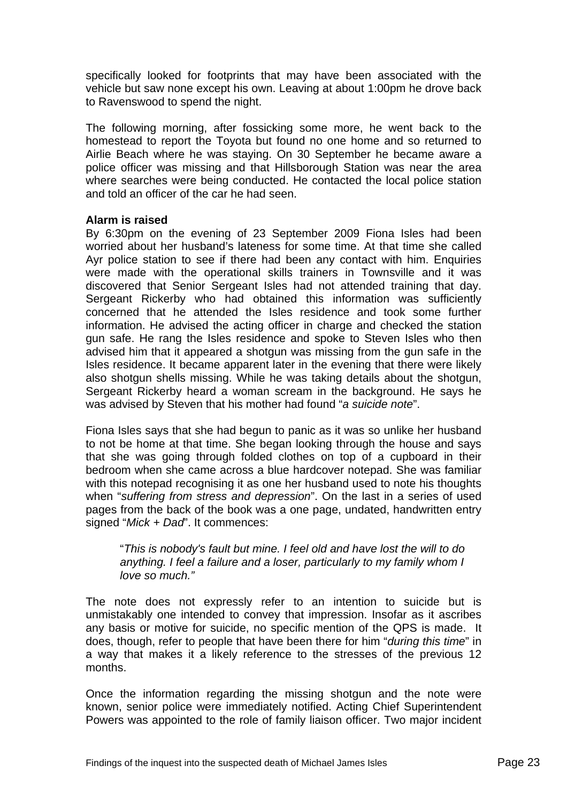specifically looked for footprints that may have been associated with the vehicle but saw none except his own. Leaving at about 1:00pm he drove back to Ravenswood to spend the night.

The following morning, after fossicking some more, he went back to the homestead to report the Toyota but found no one home and so returned to Airlie Beach where he was staying. On 30 September he became aware a police officer was missing and that Hillsborough Station was near the area where searches were being conducted. He contacted the local police station and told an officer of the car he had seen.

#### **Alarm is raised**

By 6:30pm on the evening of 23 September 2009 Fiona Isles had been worried about her husband's lateness for some time. At that time she called Ayr police station to see if there had been any contact with him. Enquiries were made with the operational skills trainers in Townsville and it was discovered that Senior Sergeant Isles had not attended training that day. Sergeant Rickerby who had obtained this information was sufficiently concerned that he attended the Isles residence and took some further information. He advised the acting officer in charge and checked the station gun safe. He rang the Isles residence and spoke to Steven Isles who then advised him that it appeared a shotgun was missing from the gun safe in the Isles residence. It became apparent later in the evening that there were likely also shotgun shells missing. While he was taking details about the shotgun, Sergeant Rickerby heard a woman scream in the background. He says he was advised by Steven that his mother had found "*a suicide note*".

Fiona Isles says that she had begun to panic as it was so unlike her husband to not be home at that time. She began looking through the house and says that she was going through folded clothes on top of a cupboard in their bedroom when she came across a blue hardcover notepad. She was familiar with this notepad recognising it as one her husband used to note his thoughts when "*suffering from stress and depression*". On the last in a series of used pages from the back of the book was a one page, undated, handwritten entry signed "*Mick + Dad*". It commences:

#### "*This is nobody's fault but mine. I feel old and have lost the will to do anything. I feel a failure and a loser, particularly to my family whom I love so much."*

The note does not expressly refer to an intention to suicide but is unmistakably one intended to convey that impression. Insofar as it ascribes any basis or motive for suicide, no specific mention of the QPS is made. It does, though, refer to people that have been there for him "*during this time*" in a way that makes it a likely reference to the stresses of the previous 12 months.

Once the information regarding the missing shotgun and the note were known, senior police were immediately notified. Acting Chief Superintendent Powers was appointed to the role of family liaison officer. Two major incident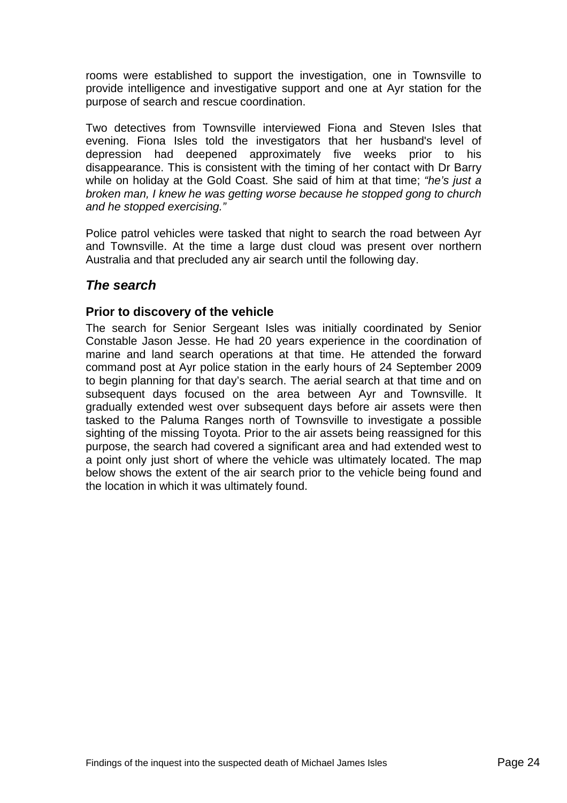<span id="page-25-0"></span>rooms were established to support the investigation, one in Townsville to provide intelligence and investigative support and one at Ayr station for the purpose of search and rescue coordination.

Two detectives from Townsville interviewed Fiona and Steven Isles that evening. Fiona Isles told the investigators that her husband's level of depression had deepened approximately five weeks prior to his disappearance. This is consistent with the timing of her contact with Dr Barry while on holiday at the Gold Coast. She said of him at that time; *"he's just a broken man, I knew he was getting worse because he stopped gong to church and he stopped exercising."* 

Police patrol vehicles were tasked that night to search the road between Ayr and Townsville. At the time a large dust cloud was present over northern Australia and that precluded any air search until the following day.

# *The search*

#### **Prior to discovery of the vehicle**

The search for Senior Sergeant Isles was initially coordinated by Senior Constable Jason Jesse. He had 20 years experience in the coordination of marine and land search operations at that time. He attended the forward command post at Ayr police station in the early hours of 24 September 2009 to begin planning for that day's search. The aerial search at that time and on subsequent days focused on the area between Ayr and Townsville. It gradually extended west over subsequent days before air assets were then tasked to the Paluma Ranges north of Townsville to investigate a possible sighting of the missing Toyota. Prior to the air assets being reassigned for this purpose, the search had covered a significant area and had extended west to a point only just short of where the vehicle was ultimately located. The map below shows the extent of the air search prior to the vehicle being found and the location in which it was ultimately found.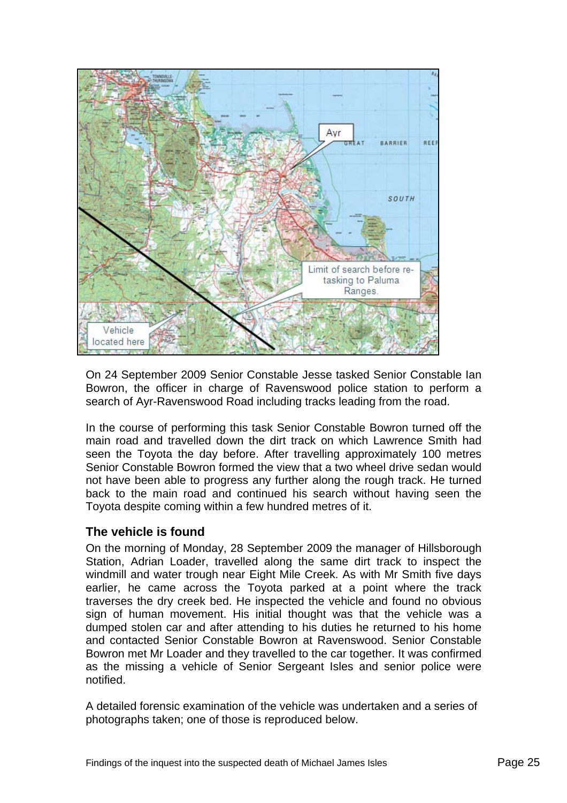<span id="page-26-0"></span>

On 24 September 2009 Senior Constable Jesse tasked Senior Constable Ian Bowron, the officer in charge of Ravenswood police station to perform a search of Ayr-Ravenswood Road including tracks leading from the road.

In the course of performing this task Senior Constable Bowron turned off the main road and travelled down the dirt track on which Lawrence Smith had seen the Toyota the day before. After travelling approximately 100 metres Senior Constable Bowron formed the view that a two wheel drive sedan would not have been able to progress any further along the rough track. He turned back to the main road and continued his search without having seen the Toyota despite coming within a few hundred metres of it.

#### **The vehicle is found**

On the morning of Monday, 28 September 2009 the manager of Hillsborough Station, Adrian Loader, travelled along the same dirt track to inspect the windmill and water trough near Eight Mile Creek. As with Mr Smith five days earlier, he came across the Toyota parked at a point where the track traverses the dry creek bed. He inspected the vehicle and found no obvious sign of human movement. His initial thought was that the vehicle was a dumped stolen car and after attending to his duties he returned to his home and contacted Senior Constable Bowron at Ravenswood. Senior Constable Bowron met Mr Loader and they travelled to the car together. It was confirmed as the missing a vehicle of Senior Sergeant Isles and senior police were notified.

A detailed forensic examination of the vehicle was undertaken and a series of photographs taken; one of those is reproduced below.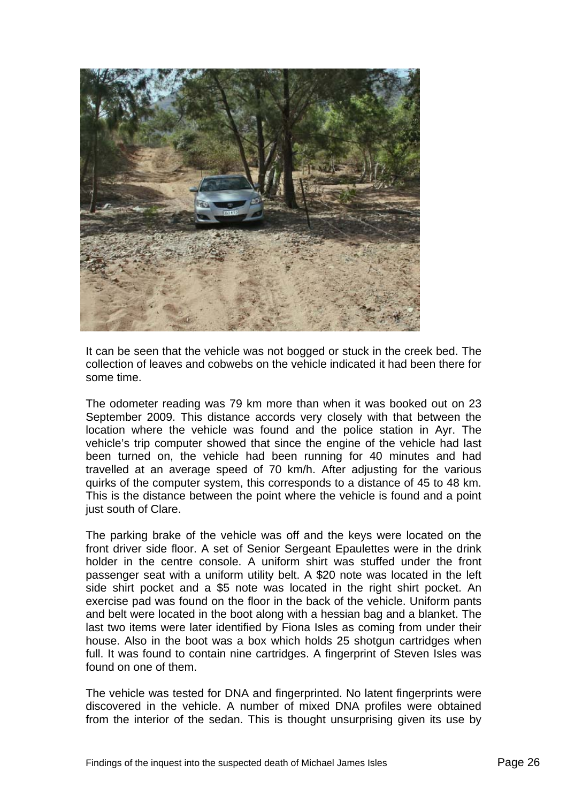

It can be seen that the vehicle was not bogged or stuck in the creek bed. The collection of leaves and cobwebs on the vehicle indicated it had been there for some time.

The odometer reading was 79 km more than when it was booked out on 23 September 2009. This distance accords very closely with that between the location where the vehicle was found and the police station in Ayr. The vehicle's trip computer showed that since the engine of the vehicle had last been turned on, the vehicle had been running for 40 minutes and had travelled at an average speed of 70 km/h. After adjusting for the various quirks of the computer system, this corresponds to a distance of 45 to 48 km. This is the distance between the point where the vehicle is found and a point just south of Clare.

The parking brake of the vehicle was off and the keys were located on the front driver side floor. A set of Senior Sergeant Epaulettes were in the drink holder in the centre console. A uniform shirt was stuffed under the front passenger seat with a uniform utility belt. A \$20 note was located in the left side shirt pocket and a \$5 note was located in the right shirt pocket. An exercise pad was found on the floor in the back of the vehicle. Uniform pants and belt were located in the boot along with a hessian bag and a blanket. The last two items were later identified by Fiona Isles as coming from under their house. Also in the boot was a box which holds 25 shotgun cartridges when full. It was found to contain nine cartridges. A fingerprint of Steven Isles was found on one of them.

The vehicle was tested for DNA and fingerprinted. No latent fingerprints were discovered in the vehicle. A number of mixed DNA profiles were obtained from the interior of the sedan. This is thought unsurprising given its use by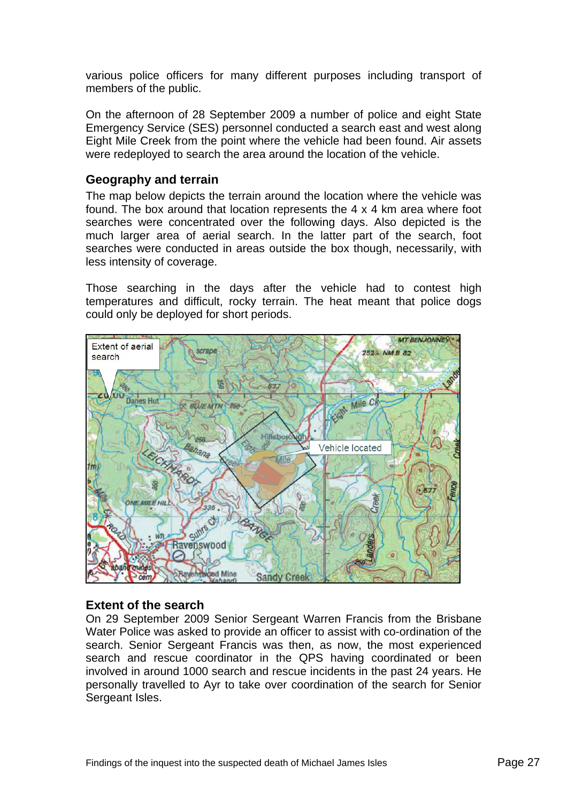<span id="page-28-0"></span>various police officers for many different purposes including transport of members of the public.

On the afternoon of 28 September 2009 a number of police and eight State Emergency Service (SES) personnel conducted a search east and west along Eight Mile Creek from the point where the vehicle had been found. Air assets were redeployed to search the area around the location of the vehicle.

#### **Geography and terrain**

The map below depicts the terrain around the location where the vehicle was found. The box around that location represents the 4 x 4 km area where foot searches were concentrated over the following days. Also depicted is the much larger area of aerial search. In the latter part of the search, foot searches were conducted in areas outside the box though, necessarily, with less intensity of coverage.

Those searching in the days after the vehicle had to contest high temperatures and difficult, rocky terrain. The heat meant that police dogs could only be deployed for short periods.



#### **Extent of the search**

On 29 September 2009 Senior Sergeant Warren Francis from the Brisbane Water Police was asked to provide an officer to assist with co-ordination of the search. Senior Sergeant Francis was then, as now, the most experienced search and rescue coordinator in the QPS having coordinated or been involved in around 1000 search and rescue incidents in the past 24 years. He personally travelled to Ayr to take over coordination of the search for Senior Sergeant Isles.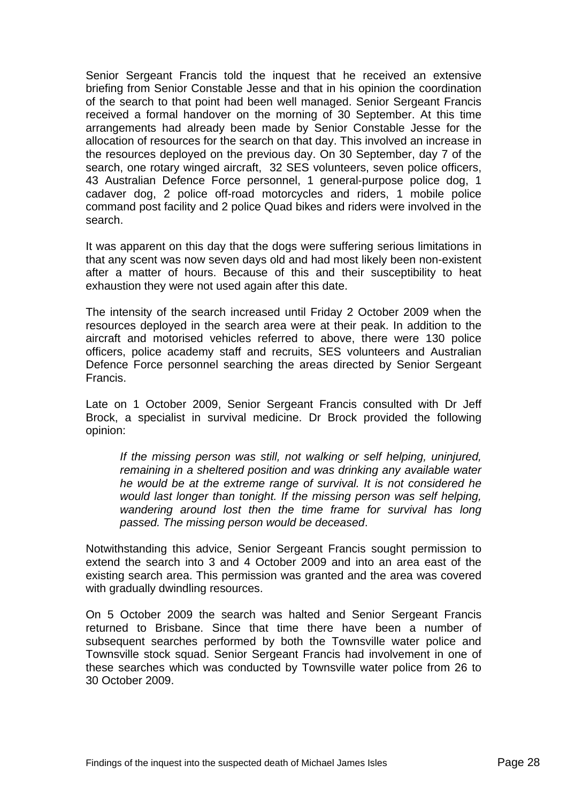Senior Sergeant Francis told the inquest that he received an extensive briefing from Senior Constable Jesse and that in his opinion the coordination of the search to that point had been well managed. Senior Sergeant Francis received a formal handover on the morning of 30 September. At this time arrangements had already been made by Senior Constable Jesse for the allocation of resources for the search on that day. This involved an increase in the resources deployed on the previous day. On 30 September, day 7 of the search, one rotary winged aircraft, 32 SES volunteers, seven police officers, 43 Australian Defence Force personnel, 1 general-purpose police dog, 1 cadaver dog, 2 police off-road motorcycles and riders, 1 mobile police command post facility and 2 police Quad bikes and riders were involved in the search.

It was apparent on this day that the dogs were suffering serious limitations in that any scent was now seven days old and had most likely been non-existent after a matter of hours. Because of this and their susceptibility to heat exhaustion they were not used again after this date.

The intensity of the search increased until Friday 2 October 2009 when the resources deployed in the search area were at their peak. In addition to the aircraft and motorised vehicles referred to above, there were 130 police officers, police academy staff and recruits, SES volunteers and Australian Defence Force personnel searching the areas directed by Senior Sergeant Francis.

Late on 1 October 2009, Senior Sergeant Francis consulted with Dr Jeff Brock, a specialist in survival medicine. Dr Brock provided the following opinion:

*If the missing person was still, not walking or self helping, uninjured, remaining in a sheltered position and was drinking any available water he would be at the extreme range of survival. It is not considered he would last longer than tonight. If the missing person was self helping, wandering around lost then the time frame for survival has long passed. The missing person would be deceased*.

Notwithstanding this advice, Senior Sergeant Francis sought permission to extend the search into 3 and 4 October 2009 and into an area east of the existing search area. This permission was granted and the area was covered with gradually dwindling resources.

On 5 October 2009 the search was halted and Senior Sergeant Francis returned to Brisbane. Since that time there have been a number of subsequent searches performed by both the Townsville water police and Townsville stock squad. Senior Sergeant Francis had involvement in one of these searches which was conducted by Townsville water police from 26 to 30 October 2009.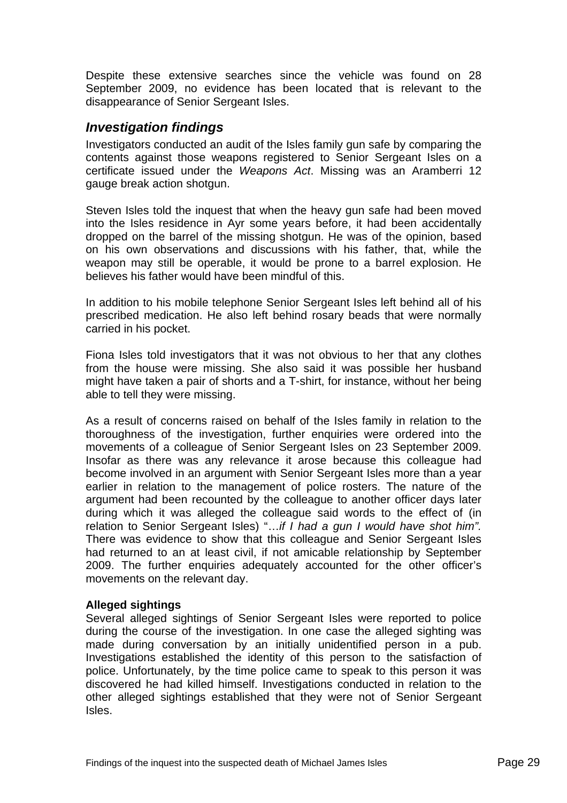<span id="page-30-0"></span>Despite these extensive searches since the vehicle was found on 28 September 2009, no evidence has been located that is relevant to the disappearance of Senior Sergeant Isles.

#### *Investigation findings*

Investigators conducted an audit of the Isles family gun safe by comparing the contents against those weapons registered to Senior Sergeant Isles on a certificate issued under the *Weapons Act*. Missing was an Aramberri 12 gauge break action shotgun.

Steven Isles told the inquest that when the heavy gun safe had been moved into the Isles residence in Ayr some years before, it had been accidentally dropped on the barrel of the missing shotgun. He was of the opinion, based on his own observations and discussions with his father, that, while the weapon may still be operable, it would be prone to a barrel explosion. He believes his father would have been mindful of this.

In addition to his mobile telephone Senior Sergeant Isles left behind all of his prescribed medication. He also left behind rosary beads that were normally carried in his pocket.

Fiona Isles told investigators that it was not obvious to her that any clothes from the house were missing. She also said it was possible her husband might have taken a pair of shorts and a T-shirt, for instance, without her being able to tell they were missing.

As a result of concerns raised on behalf of the Isles family in relation to the thoroughness of the investigation, further enquiries were ordered into the movements of a colleague of Senior Sergeant Isles on 23 September 2009. Insofar as there was any relevance it arose because this colleague had become involved in an argument with Senior Sergeant Isles more than a year earlier in relation to the management of police rosters. The nature of the argument had been recounted by the colleague to another officer days later during which it was alleged the colleague said words to the effect of (in relation to Senior Sergeant Isles) "…*if I had a gun I would have shot him".* There was evidence to show that this colleague and Senior Sergeant Isles had returned to an at least civil, if not amicable relationship by September 2009. The further enquiries adequately accounted for the other officer's movements on the relevant day.

#### **Alleged sightings**

Several alleged sightings of Senior Sergeant Isles were reported to police during the course of the investigation. In one case the alleged sighting was made during conversation by an initially unidentified person in a pub. Investigations established the identity of this person to the satisfaction of police. Unfortunately, by the time police came to speak to this person it was discovered he had killed himself. Investigations conducted in relation to the other alleged sightings established that they were not of Senior Sergeant Isles.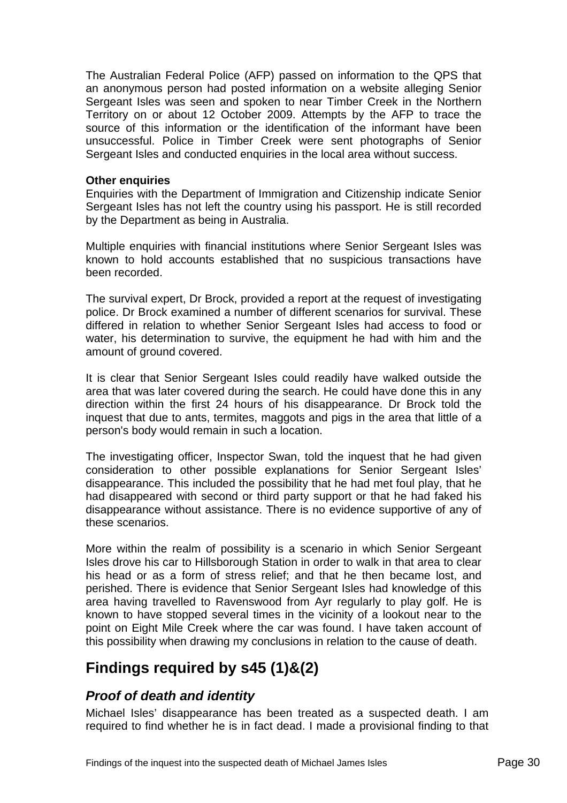<span id="page-31-0"></span>The Australian Federal Police (AFP) passed on information to the QPS that an anonymous person had posted information on a website alleging Senior Sergeant Isles was seen and spoken to near Timber Creek in the Northern Territory on or about 12 October 2009. Attempts by the AFP to trace the source of this information or the identification of the informant have been unsuccessful. Police in Timber Creek were sent photographs of Senior Sergeant Isles and conducted enquiries in the local area without success.

#### **Other enquiries**

Enquiries with the Department of Immigration and Citizenship indicate Senior Sergeant Isles has not left the country using his passport. He is still recorded by the Department as being in Australia.

Multiple enquiries with financial institutions where Senior Sergeant Isles was known to hold accounts established that no suspicious transactions have been recorded.

The survival expert, Dr Brock, provided a report at the request of investigating police. Dr Brock examined a number of different scenarios for survival. These differed in relation to whether Senior Sergeant Isles had access to food or water, his determination to survive, the equipment he had with him and the amount of ground covered.

It is clear that Senior Sergeant Isles could readily have walked outside the area that was later covered during the search. He could have done this in any direction within the first 24 hours of his disappearance. Dr Brock told the inquest that due to ants, termites, maggots and pigs in the area that little of a person's body would remain in such a location.

The investigating officer, Inspector Swan, told the inquest that he had given consideration to other possible explanations for Senior Sergeant Isles' disappearance. This included the possibility that he had met foul play, that he had disappeared with second or third party support or that he had faked his disappearance without assistance. There is no evidence supportive of any of these scenarios.

More within the realm of possibility is a scenario in which Senior Sergeant Isles drove his car to Hillsborough Station in order to walk in that area to clear his head or as a form of stress relief; and that he then became lost, and perished. There is evidence that Senior Sergeant Isles had knowledge of this area having travelled to Ravenswood from Ayr regularly to play golf. He is known to have stopped several times in the vicinity of a lookout near to the point on Eight Mile Creek where the car was found. I have taken account of this possibility when drawing my conclusions in relation to the cause of death.

# **Findings required by s45 (1)&(2)**

## *Proof of death and identity*

Michael Isles' disappearance has been treated as a suspected death. I am required to find whether he is in fact dead. I made a provisional finding to that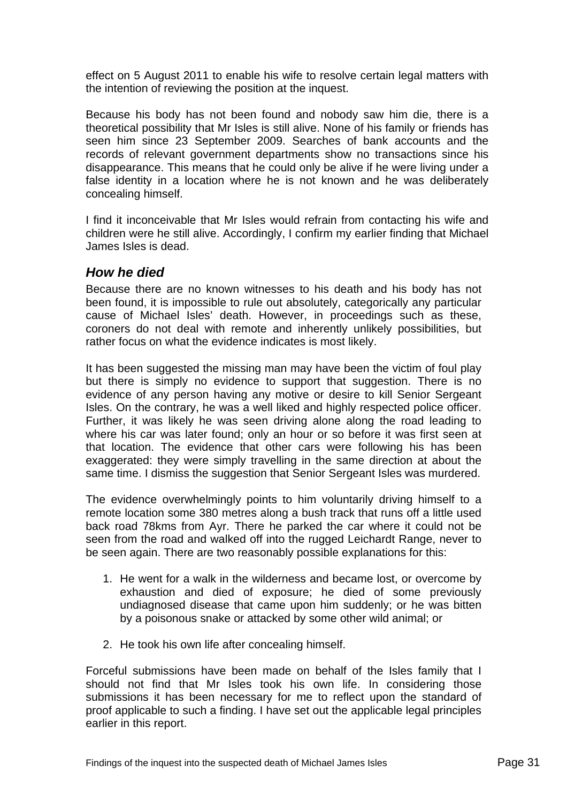<span id="page-32-0"></span>effect on 5 August 2011 to enable his wife to resolve certain legal matters with the intention of reviewing the position at the inquest.

Because his body has not been found and nobody saw him die, there is a theoretical possibility that Mr Isles is still alive. None of his family or friends has seen him since 23 September 2009. Searches of bank accounts and the records of relevant government departments show no transactions since his disappearance. This means that he could only be alive if he were living under a false identity in a location where he is not known and he was deliberately concealing himself.

I find it inconceivable that Mr Isles would refrain from contacting his wife and children were he still alive. Accordingly, I confirm my earlier finding that Michael James Isles is dead.

#### *How he died*

Because there are no known witnesses to his death and his body has not been found, it is impossible to rule out absolutely, categorically any particular cause of Michael Isles' death. However, in proceedings such as these, coroners do not deal with remote and inherently unlikely possibilities, but rather focus on what the evidence indicates is most likely.

It has been suggested the missing man may have been the victim of foul play but there is simply no evidence to support that suggestion. There is no evidence of any person having any motive or desire to kill Senior Sergeant Isles. On the contrary, he was a well liked and highly respected police officer. Further, it was likely he was seen driving alone along the road leading to where his car was later found; only an hour or so before it was first seen at that location. The evidence that other cars were following his has been exaggerated: they were simply travelling in the same direction at about the same time. I dismiss the suggestion that Senior Sergeant Isles was murdered.

The evidence overwhelmingly points to him voluntarily driving himself to a remote location some 380 metres along a bush track that runs off a little used back road 78kms from Ayr. There he parked the car where it could not be seen from the road and walked off into the rugged Leichardt Range, never to be seen again. There are two reasonably possible explanations for this:

- 1. He went for a walk in the wilderness and became lost, or overcome by exhaustion and died of exposure; he died of some previously undiagnosed disease that came upon him suddenly; or he was bitten by a poisonous snake or attacked by some other wild animal; or
- 2. He took his own life after concealing himself.

Forceful submissions have been made on behalf of the Isles family that I should not find that Mr Isles took his own life. In considering those submissions it has been necessary for me to reflect upon the standard of proof applicable to such a finding. I have set out the applicable legal principles earlier in this report.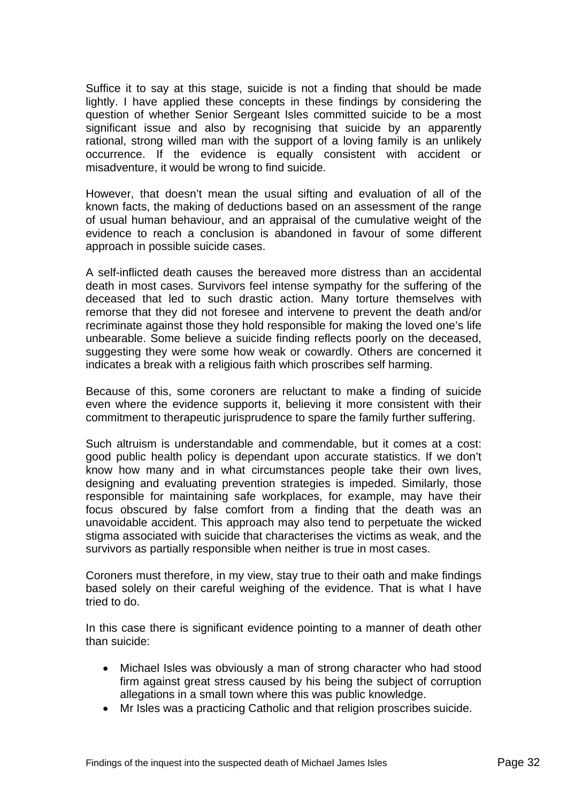Suffice it to say at this stage, suicide is not a finding that should be made lightly. I have applied these concepts in these findings by considering the question of whether Senior Sergeant Isles committed suicide to be a most significant issue and also by recognising that suicide by an apparently rational, strong willed man with the support of a loving family is an unlikely occurrence. If the evidence is equally consistent with accident or misadventure, it would be wrong to find suicide.

However, that doesn't mean the usual sifting and evaluation of all of the known facts, the making of deductions based on an assessment of the range of usual human behaviour, and an appraisal of the cumulative weight of the evidence to reach a conclusion is abandoned in favour of some different approach in possible suicide cases.

A self-inflicted death causes the bereaved more distress than an accidental death in most cases. Survivors feel intense sympathy for the suffering of the deceased that led to such drastic action. Many torture themselves with remorse that they did not foresee and intervene to prevent the death and/or recriminate against those they hold responsible for making the loved one's life unbearable. Some believe a suicide finding reflects poorly on the deceased, suggesting they were some how weak or cowardly. Others are concerned it indicates a break with a religious faith which proscribes self harming.

Because of this, some coroners are reluctant to make a finding of suicide even where the evidence supports it, believing it more consistent with their commitment to therapeutic jurisprudence to spare the family further suffering.

Such altruism is understandable and commendable, but it comes at a cost: good public health policy is dependant upon accurate statistics. If we don't know how many and in what circumstances people take their own lives, designing and evaluating prevention strategies is impeded. Similarly, those responsible for maintaining safe workplaces, for example, may have their focus obscured by false comfort from a finding that the death was an unavoidable accident. This approach may also tend to perpetuate the wicked stigma associated with suicide that characterises the victims as weak, and the survivors as partially responsible when neither is true in most cases.

Coroners must therefore, in my view, stay true to their oath and make findings based solely on their careful weighing of the evidence. That is what I have tried to do.

In this case there is significant evidence pointing to a manner of death other than suicide:

- Michael Isles was obviously a man of strong character who had stood firm against great stress caused by his being the subject of corruption allegations in a small town where this was public knowledge.
- Mr Isles was a practicing Catholic and that religion proscribes suicide.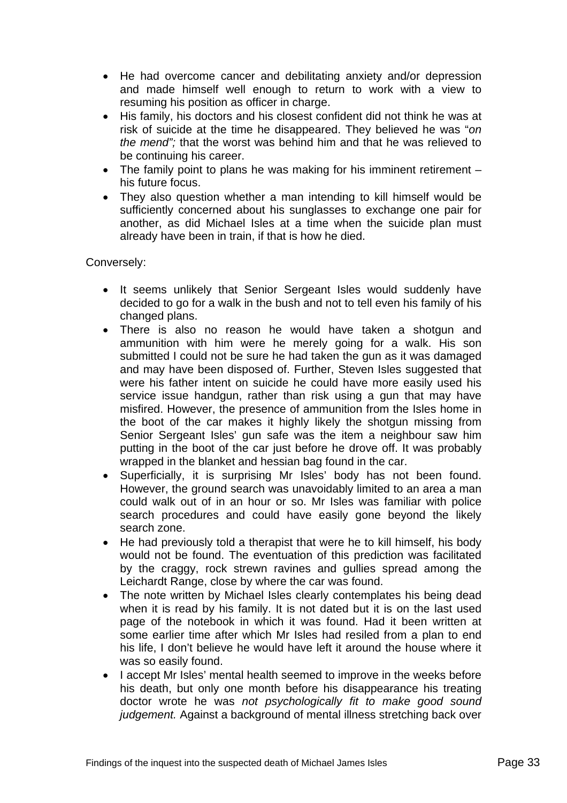- He had overcome cancer and debilitating anxiety and/or depression and made himself well enough to return to work with a view to resuming his position as officer in charge.
- His family, his doctors and his closest confident did not think he was at risk of suicide at the time he disappeared. They believed he was "*on the mend";* that the worst was behind him and that he was relieved to be continuing his career.
- The family point to plans he was making for his imminent retirement his future focus.
- They also question whether a man intending to kill himself would be sufficiently concerned about his sunglasses to exchange one pair for another, as did Michael Isles at a time when the suicide plan must already have been in train, if that is how he died.

Conversely:

- It seems unlikely that Senior Sergeant Isles would suddenly have decided to go for a walk in the bush and not to tell even his family of his changed plans.
- There is also no reason he would have taken a shotgun and ammunition with him were he merely going for a walk. His son submitted I could not be sure he had taken the gun as it was damaged and may have been disposed of. Further, Steven Isles suggested that were his father intent on suicide he could have more easily used his service issue handgun, rather than risk using a gun that may have misfired. However, the presence of ammunition from the Isles home in the boot of the car makes it highly likely the shotgun missing from Senior Sergeant Isles' gun safe was the item a neighbour saw him putting in the boot of the car just before he drove off. It was probably wrapped in the blanket and hessian bag found in the car.
- Superficially, it is surprising Mr Isles' body has not been found. However, the ground search was unavoidably limited to an area a man could walk out of in an hour or so. Mr Isles was familiar with police search procedures and could have easily gone beyond the likely search zone.
- He had previously told a therapist that were he to kill himself, his body would not be found. The eventuation of this prediction was facilitated by the craggy, rock strewn ravines and gullies spread among the Leichardt Range, close by where the car was found.
- The note written by Michael Isles clearly contemplates his being dead when it is read by his family. It is not dated but it is on the last used page of the notebook in which it was found. Had it been written at some earlier time after which Mr Isles had resiled from a plan to end his life, I don't believe he would have left it around the house where it was so easily found.
- I accept Mr Isles' mental health seemed to improve in the weeks before his death, but only one month before his disappearance his treating doctor wrote he was *not psychologically fit to make good sound judgement.* Against a background of mental illness stretching back over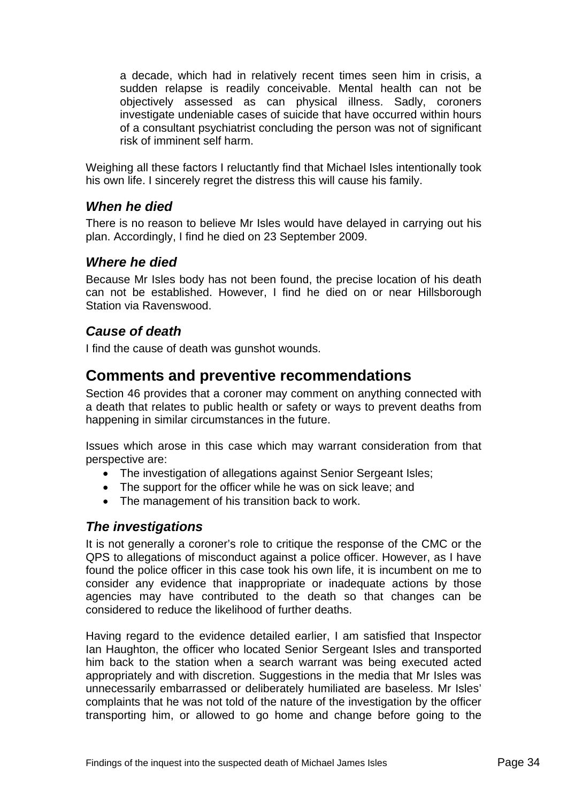<span id="page-35-0"></span>a decade, which had in relatively recent times seen him in crisis, a sudden relapse is readily conceivable. Mental health can not be objectively assessed as can physical illness. Sadly, coroners investigate undeniable cases of suicide that have occurred within hours of a consultant psychiatrist concluding the person was not of significant risk of imminent self harm.

Weighing all these factors I reluctantly find that Michael Isles intentionally took his own life. I sincerely regret the distress this will cause his family.

## *When he died*

There is no reason to believe Mr Isles would have delayed in carrying out his plan. Accordingly, I find he died on 23 September 2009.

# *Where he died*

Because Mr Isles body has not been found, the precise location of his death can not be established. However, I find he died on or near Hillsborough Station via Ravenswood.

## *Cause of death*

I find the cause of death was gunshot wounds.

# **Comments and preventive recommendations**

Section 46 provides that a coroner may comment on anything connected with a death that relates to public health or safety or ways to prevent deaths from happening in similar circumstances in the future.

Issues which arose in this case which may warrant consideration from that perspective are:

- The investigation of allegations against Senior Sergeant Isles;
- The support for the officer while he was on sick leave; and
- The management of his transition back to work.

## *The investigations*

It is not generally a coroner's role to critique the response of the CMC or the QPS to allegations of misconduct against a police officer. However, as I have found the police officer in this case took his own life, it is incumbent on me to consider any evidence that inappropriate or inadequate actions by those agencies may have contributed to the death so that changes can be considered to reduce the likelihood of further deaths.

Having regard to the evidence detailed earlier, I am satisfied that Inspector Ian Haughton, the officer who located Senior Sergeant Isles and transported him back to the station when a search warrant was being executed acted appropriately and with discretion. Suggestions in the media that Mr Isles was unnecessarily embarrassed or deliberately humiliated are baseless. Mr Isles' complaints that he was not told of the nature of the investigation by the officer transporting him, or allowed to go home and change before going to the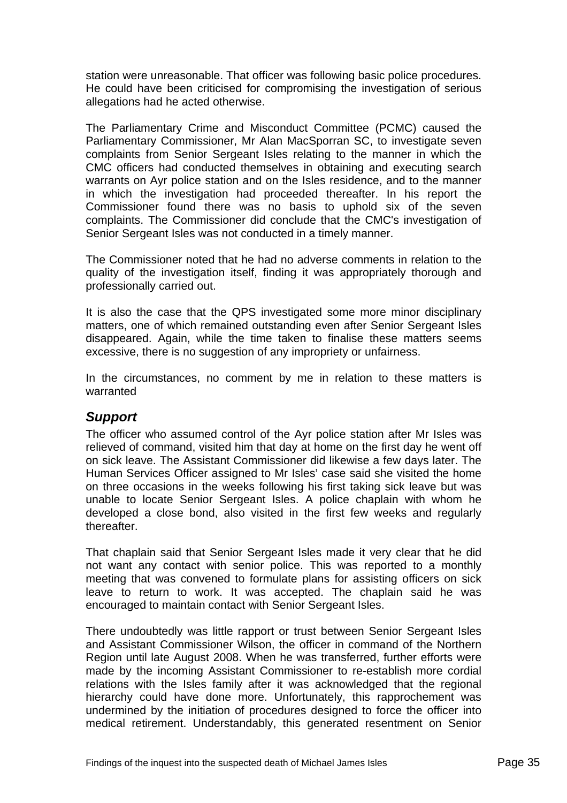<span id="page-36-0"></span>station were unreasonable. That officer was following basic police procedures. He could have been criticised for compromising the investigation of serious allegations had he acted otherwise.

The Parliamentary Crime and Misconduct Committee (PCMC) caused the Parliamentary Commissioner, Mr Alan MacSporran SC, to investigate seven complaints from Senior Sergeant Isles relating to the manner in which the CMC officers had conducted themselves in obtaining and executing search warrants on Ayr police station and on the Isles residence, and to the manner in which the investigation had proceeded thereafter. In his report the Commissioner found there was no basis to uphold six of the seven complaints. The Commissioner did conclude that the CMC's investigation of Senior Sergeant Isles was not conducted in a timely manner.

The Commissioner noted that he had no adverse comments in relation to the quality of the investigation itself, finding it was appropriately thorough and professionally carried out.

It is also the case that the QPS investigated some more minor disciplinary matters, one of which remained outstanding even after Senior Sergeant Isles disappeared. Again, while the time taken to finalise these matters seems excessive, there is no suggestion of any impropriety or unfairness.

In the circumstances, no comment by me in relation to these matters is warranted

## *Support*

The officer who assumed control of the Ayr police station after Mr Isles was relieved of command, visited him that day at home on the first day he went off on sick leave. The Assistant Commissioner did likewise a few days later. The Human Services Officer assigned to Mr Isles' case said she visited the home on three occasions in the weeks following his first taking sick leave but was unable to locate Senior Sergeant Isles. A police chaplain with whom he developed a close bond, also visited in the first few weeks and regularly thereafter.

That chaplain said that Senior Sergeant Isles made it very clear that he did not want any contact with senior police. This was reported to a monthly meeting that was convened to formulate plans for assisting officers on sick leave to return to work. It was accepted. The chaplain said he was encouraged to maintain contact with Senior Sergeant Isles.

There undoubtedly was little rapport or trust between Senior Sergeant Isles and Assistant Commissioner Wilson, the officer in command of the Northern Region until late August 2008. When he was transferred, further efforts were made by the incoming Assistant Commissioner to re-establish more cordial relations with the Isles family after it was acknowledged that the regional hierarchy could have done more. Unfortunately, this rapprochement was undermined by the initiation of procedures designed to force the officer into medical retirement. Understandably, this generated resentment on Senior